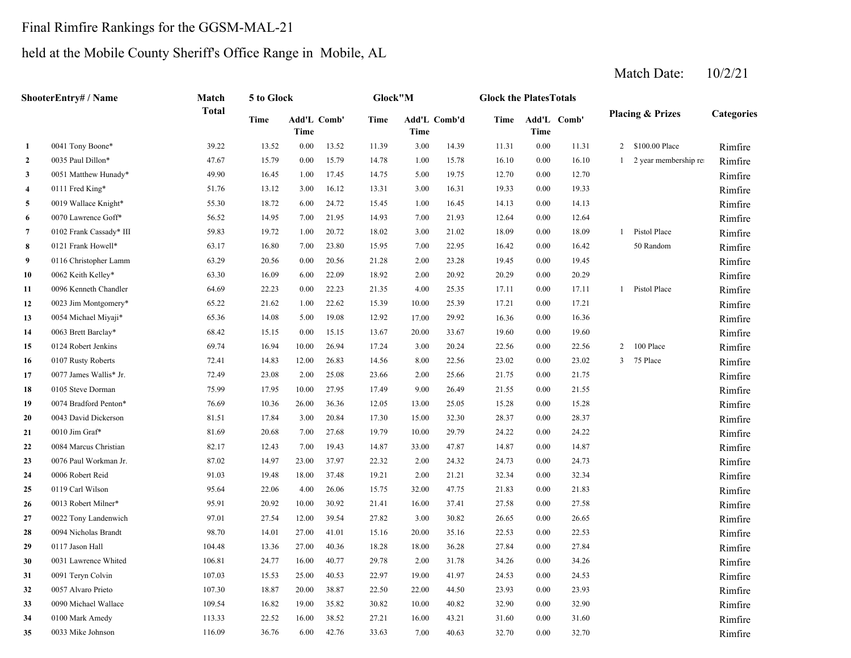# Final Rimfire Rankings for the GGSM-MAL-21

# held at the Mobile County Sheriff's Office Range in Mobile, AL

|                | ShooterEntry# / Name    | Match        | 5 to Glock |                            |       | Glock"M |       |              | <b>Glock the PlatesTotals</b> |          |             |                |                             |                   |
|----------------|-------------------------|--------------|------------|----------------------------|-------|---------|-------|--------------|-------------------------------|----------|-------------|----------------|-----------------------------|-------------------|
|                |                         | <b>Total</b> | Time       | Add'L Comb'<br><b>Time</b> |       | Time    | Time  | Add'L Comb'd | Time                          | Time     | Add'L Comb' |                | <b>Placing &amp; Prizes</b> | <b>Categories</b> |
| $\mathbf{1}$   | 0041 Tony Boone*        | 39.22        | 13.52      | 0.00                       | 13.52 | 11.39   | 3.00  | 14.39        | 11.31                         | 0.00     | 11.31       |                | 2 \$100.00 Place            | Rimfire           |
| $\overline{2}$ | 0035 Paul Dillon*       | 47.67        | 15.79      | 0.00                       | 15.79 | 14.78   | 1.00  | 15.78        | 16.10                         | $0.00\,$ | 16.10       |                | 1 2 year membership rea     | Rimfire           |
| $\mathbf{3}$   | 0051 Matthew Hunady*    | 49.90        | 16.45      | 1.00                       | 17.45 | 14.75   | 5.00  | 19.75        | 12.70                         | 0.00     | 12.70       |                |                             | Rimfire           |
| $\overline{4}$ | 0111 Fred King*         | 51.76        | 13.12      | 3.00                       | 16.12 | 13.31   | 3.00  | 16.31        | 19.33                         | 0.00     | 19.33       |                |                             | Rimfire           |
| 5              | 0019 Wallace Knight*    | 55.30        | 18.72      | 6.00                       | 24.72 | 15.45   | 1.00  | 16.45        | 14.13                         | 0.00     | 14.13       |                |                             | Rimfire           |
| 6              | 0070 Lawrence Goff*     | 56.52        | 14.95      | 7.00                       | 21.95 | 14.93   | 7.00  | 21.93        | 12.64                         | $0.00\,$ | 12.64       |                |                             | Rimfire           |
| 7              | 0102 Frank Cassady* III | 59.83        | 19.72      | 1.00                       | 20.72 | 18.02   | 3.00  | 21.02        | 18.09                         | $0.00\,$ | 18.09       |                | 1 Pistol Place              | Rimfire           |
| 8              | 0121 Frank Howell*      | 63.17        | 16.80      | 7.00                       | 23.80 | 15.95   | 7.00  | 22.95        | 16.42                         | 0.00     | 16.42       |                | 50 Random                   | Rimfire           |
| 9              | 0116 Christopher Lamm   | 63.29        | 20.56      | 0.00                       | 20.56 | 21.28   | 2.00  | 23.28        | 19.45                         | 0.00     | 19.45       |                |                             | Rimfire           |
| 10             | 0062 Keith Kelley*      | 63.30        | 16.09      | 6.00                       | 22.09 | 18.92   | 2.00  | 20.92        | 20.29                         | 0.00     | 20.29       |                |                             | Rimfire           |
| 11             | 0096 Kenneth Chandler   | 64.69        | 22.23      | 0.00                       | 22.23 | 21.35   | 4.00  | 25.35        | 17.11                         | 0.00     | 17.11       |                | 1 Pistol Place              | Rimfire           |
| 12             | 0023 Jim Montgomery*    | 65.22        | 21.62      | $1.00\,$                   | 22.62 | 15.39   | 10.00 | 25.39        | 17.21                         | $0.00\,$ | 17.21       |                |                             | Rimfire           |
| 13             | 0054 Michael Miyaji*    | 65.36        | 14.08      | 5.00                       | 19.08 | 12.92   | 17.00 | 29.92        | 16.36                         | 0.00     | 16.36       |                |                             | Rimfire           |
| 14             | 0063 Brett Barclay*     | 68.42        | 15.15      | 0.00                       | 15.15 | 13.67   | 20.00 | 33.67        | 19.60                         | 0.00     | 19.60       |                |                             | Rimfire           |
| 15             | 0124 Robert Jenkins     | 69.74        | 16.94      | 10.00                      | 26.94 | 17.24   | 3.00  | 20.24        | 22.56                         | 0.00     | 22.56       | $\overline{2}$ | 100 Place                   | Rimfire           |
| 16             | 0107 Rusty Roberts      | 72.41        | 14.83      | 12.00                      | 26.83 | 14.56   | 8.00  | 22.56        | 23.02                         | 0.00     | 23.02       | 3              | 75 Place                    | Rimfire           |
| 17             | 0077 James Wallis* Jr.  | 72.49        | 23.08      | 2.00                       | 25.08 | 23.66   | 2.00  | 25.66        | 21.75                         | 0.00     | 21.75       |                |                             | Rimfire           |
| 18             | 0105 Steve Dorman       | 75.99        | 17.95      | 10.00                      | 27.95 | 17.49   | 9.00  | 26.49        | 21.55                         | 0.00     | 21.55       |                |                             | Rimfire           |
| 19             | 0074 Bradford Penton*   | 76.69        | 10.36      | 26.00                      | 36.36 | 12.05   | 13.00 | 25.05        | 15.28                         | 0.00     | 15.28       |                |                             | Rimfire           |
| 20             | 0043 David Dickerson    | 81.51        | 17.84      | 3.00                       | 20.84 | 17.30   | 15.00 | 32.30        | 28.37                         | 0.00     | 28.37       |                |                             | Rimfire           |
| 21             | 0010 Jim Graf*          | 81.69        | 20.68      | 7.00                       | 27.68 | 19.79   | 10.00 | 29.79        | 24.22                         | 0.00     | 24.22       |                |                             | Rimfire           |
| 22             | 0084 Marcus Christian   | 82.17        | 12.43      | 7.00                       | 19.43 | 14.87   | 33.00 | 47.87        | 14.87                         | 0.00     | 14.87       |                |                             | Rimfire           |
| 23             | 0076 Paul Workman Jr.   | 87.02        | 14.97      | 23.00                      | 37.97 | 22.32   | 2.00  | 24.32        | 24.73                         | 0.00     | 24.73       |                |                             | Rimfire           |
| 24             | 0006 Robert Reid        | 91.03        | 19.48      | 18.00                      | 37.48 | 19.21   | 2.00  | 21.21        | 32.34                         | 0.00     | 32.34       |                |                             | Rimfire           |
| 25             | 0119 Carl Wilson        | 95.64        | 22.06      | 4.00                       | 26.06 | 15.75   | 32.00 | 47.75        | 21.83                         | 0.00     | 21.83       |                |                             | Rimfire           |
| 26             | 0013 Robert Milner*     | 95.91        | 20.92      | 10.00                      | 30.92 | 21.41   | 16.00 | 37.41        | 27.58                         | 0.00     | 27.58       |                |                             | Rimfire           |
| 27             | 0022 Tony Landenwich    | 97.01        | 27.54      | 12.00                      | 39.54 | 27.82   | 3.00  | 30.82        | 26.65                         | 0.00     | 26.65       |                |                             | Rimfire           |
| 28             | 0094 Nicholas Brandt    | 98.70        | 14.01      | 27.00                      | 41.01 | 15.16   | 20.00 | 35.16        | 22.53                         | $0.00\,$ | 22.53       |                |                             | Rimfire           |
| 29             | 0117 Jason Hall         | 104.48       | 13.36      | 27.00                      | 40.36 | 18.28   | 18.00 | 36.28        | 27.84                         | $0.00\,$ | 27.84       |                |                             | Rimfire           |
| 30             | 0031 Lawrence Whited    | 106.81       | 24.77      | 16.00                      | 40.77 | 29.78   | 2.00  | 31.78        | 34.26                         | 0.00     | 34.26       |                |                             | Rimfire           |
| 31             | 0091 Teryn Colvin       | 107.03       | 15.53      | 25.00                      | 40.53 | 22.97   | 19.00 | 41.97        | 24.53                         | 0.00     | 24.53       |                |                             | Rimfire           |
| 32             | 0057 Alvaro Prieto      | 107.30       | 18.87      | 20.00                      | 38.87 | 22.50   | 22.00 | 44.50        | 23.93                         | 0.00     | 23.93       |                |                             | Rimfire           |
| 33             | 0090 Michael Wallace    | 109.54       | 16.82      | 19.00                      | 35.82 | 30.82   | 10.00 | 40.82        | 32.90                         | 0.00     | 32.90       |                |                             | Rimfire           |
| 34             | 0100 Mark Amedy         | 113.33       | 22.52      | 16.00                      | 38.52 | 27.21   | 16.00 | 43.21        | 31.60                         | 0.00     | 31.60       |                |                             | Rimfire           |
| 35             | 0033 Mike Johnson       | 116.09       | 36.76      | 6.00                       | 42.76 | 33.63   | 7.00  | 40.63        | 32.70                         | 0.00     | 32.70       |                |                             | Rimfire           |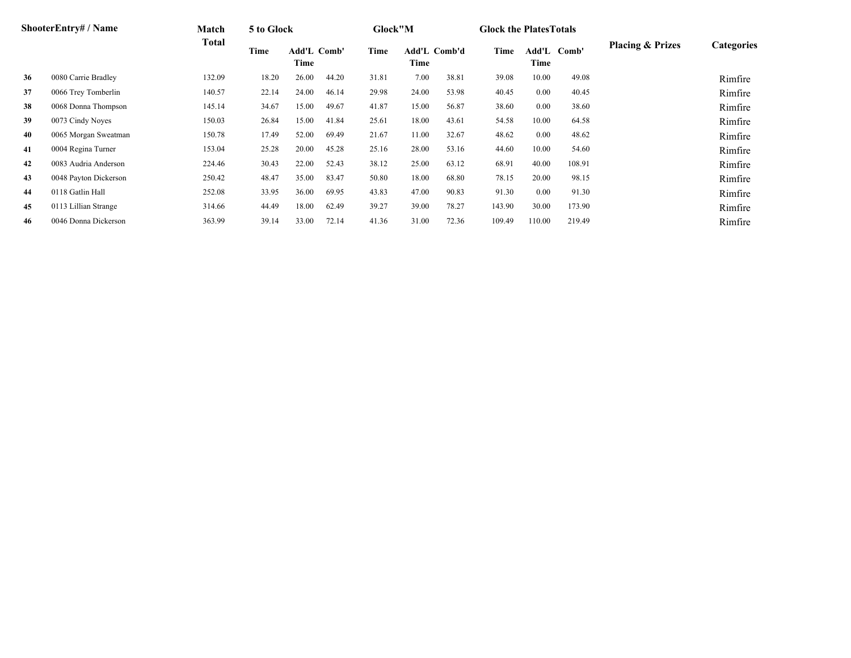|    | <b>ShooterEntry#/Name</b> | Match  | 5 to Glock |                     |       | Glock"M |                      |       | <b>Glock the Plates Totals</b> |               |        |                             |                   |
|----|---------------------------|--------|------------|---------------------|-------|---------|----------------------|-------|--------------------------------|---------------|--------|-----------------------------|-------------------|
|    |                           | Total  | Time       | Add'L Comb'<br>Time |       | Time    | Add'L Comb'd<br>Time |       | Time                           | Add'L<br>Time | Comb'  | <b>Placing &amp; Prizes</b> | <b>Categories</b> |
| 36 | 0080 Carrie Bradley       | 132.09 | 18.20      | 26.00               | 44.20 | 31.81   | 7.00                 | 38.81 | 39.08                          | 10.00         | 49.08  |                             | Rimfire           |
| 37 | 0066 Trey Tomberlin       | 140.57 | 22.14      | 24.00               | 46.14 | 29.98   | 24.00                | 53.98 | 40.45                          | 0.00          | 40.45  |                             | Rimfire           |
| 38 | 0068 Donna Thompson       | 145.14 | 34.67      | 15.00               | 49.67 | 41.87   | 15.00                | 56.87 | 38.60                          | 0.00          | 38.60  |                             | Rimfire           |
| 39 | 0073 Cindy Noyes          | 150.03 | 26.84      | 15.00               | 41.84 | 25.61   | 18.00                | 43.61 | 54.58                          | 10.00         | 64.58  |                             | Rimfire           |
| 40 | 0065 Morgan Sweatman      | 150.78 | 17.49      | 52.00               | 69.49 | 21.67   | 11.00                | 32.67 | 48.62                          | 0.00          | 48.62  |                             | Rimfire           |
| 41 | 0004 Regina Turner        | 153.04 | 25.28      | 20.00               | 45.28 | 25.16   | 28.00                | 53.16 | 44.60                          | 10.00         | 54.60  |                             | Rimfire           |
| 42 | 0083 Audria Anderson      | 224.46 | 30.43      | 22.00               | 52.43 | 38.12   | 25.00                | 63.12 | 68.91                          | 40.00         | 108.91 |                             | Rimfire           |
| 43 | 0048 Payton Dickerson     | 250.42 | 48.47      | 35.00               | 83.47 | 50.80   | 18.00                | 68.80 | 78.15                          | 20.00         | 98.15  |                             | Rimfire           |
| 44 | 0118 Gatlin Hall          | 252.08 | 33.95      | 36.00               | 69.95 | 43.83   | 47.00                | 90.83 | 91.30                          | 0.00          | 91.30  |                             | Rimfire           |
| 45 | 0113 Lillian Strange      | 314.66 | 44.49      | 18.00               | 62.49 | 39.27   | 39.00                | 78.27 | 143.90                         | 30.00         | 173.90 |                             | Rimfire           |
| 46 | 0046 Donna Dickerson      | 363.99 | 39.14      | 33.00               | 72.14 | 41.36   | 31.00                | 72.36 | 109.49                         | 110.00        | 219.49 |                             | Rimfire           |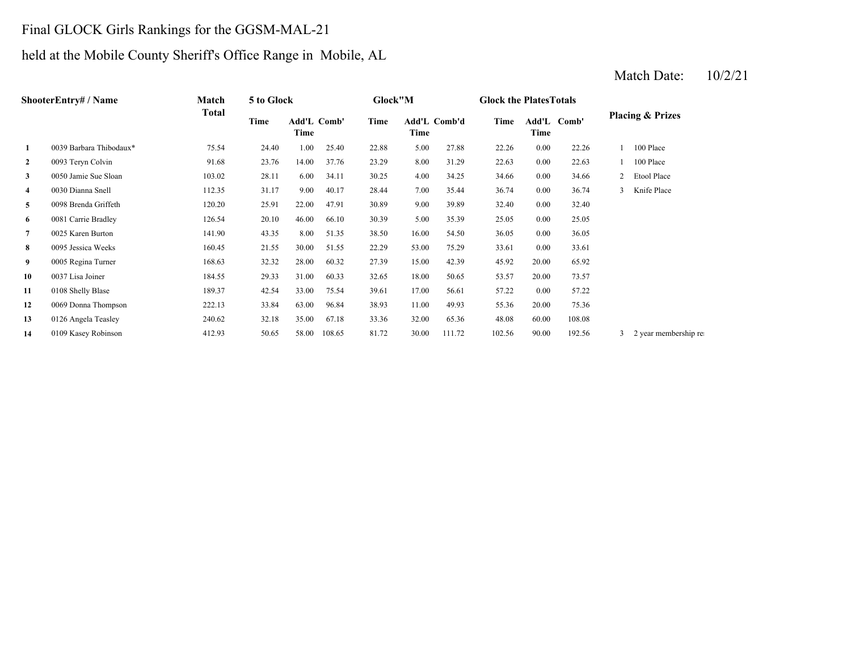# Final GLOCK Girls Rankings for the GGSM-MAL-21

# held at the Mobile County Sheriff's Office Range in Mobile, AL

|                | <b>ShooterEntry# / Name</b> | Match  | 5 to Glock |                     |        | Glock"M |       |              | <b>Glock the Plates Totals</b> |       |             |              |                             |
|----------------|-----------------------------|--------|------------|---------------------|--------|---------|-------|--------------|--------------------------------|-------|-------------|--------------|-----------------------------|
|                |                             | Total  | Time       | Add'L Comb'<br>Time |        | Time    | Time  | Add'L Comb'd | Time                           | Time  | Add'L Comb' |              | <b>Placing &amp; Prizes</b> |
| 1              | 0039 Barbara Thibodaux*     | 75.54  | 24.40      | 1.00                | 25.40  | 22.88   | 5.00  | 27.88        | 22.26                          | 0.00  | 22.26       |              | 100 Place                   |
| 2              | 0093 Teryn Colvin           | 91.68  | 23.76      | 14.00               | 37.76  | 23.29   | 8.00  | 31.29        | 22.63                          | 0.00  | 22.63       |              | 100 Place                   |
| 3              | 0050 Jamie Sue Sloan        | 103.02 | 28.11      | 6.00                | 34.11  | 30.25   | 4.00  | 34.25        | 34.66                          | 0.00  | 34.66       | 2            | Etool Place                 |
| 4              | 0030 Dianna Snell           | 112.35 | 31.17      | 9.00                | 40.17  | 28.44   | 7.00  | 35.44        | 36.74                          | 0.00  | 36.74       | $\mathbf{3}$ | Knife Place                 |
| 5              | 0098 Brenda Griffeth        | 120.20 | 25.91      | 22.00               | 47.91  | 30.89   | 9.00  | 39.89        | 32.40                          | 0.00  | 32.40       |              |                             |
| 6              | 0081 Carrie Bradley         | 126.54 | 20.10      | 46.00               | 66.10  | 30.39   | 5.00  | 35.39        | 25.05                          | 0.00  | 25.05       |              |                             |
| $\overline{7}$ | 0025 Karen Burton           | 141.90 | 43.35      | 8.00                | 51.35  | 38.50   | 16.00 | 54.50        | 36.05                          | 0.00  | 36.05       |              |                             |
| 8              | 0095 Jessica Weeks          | 160.45 | 21.55      | 30.00               | 51.55  | 22.29   | 53.00 | 75.29        | 33.61                          | 0.00  | 33.61       |              |                             |
| 9              | 0005 Regina Turner          | 168.63 | 32.32      | 28.00               | 60.32  | 27.39   | 15.00 | 42.39        | 45.92                          | 20.00 | 65.92       |              |                             |
| 10             | 0037 Lisa Joiner            | 184.55 | 29.33      | 31.00               | 60.33  | 32.65   | 18.00 | 50.65        | 53.57                          | 20.00 | 73.57       |              |                             |
| 11             | 0108 Shelly Blase           | 189.37 | 42.54      | 33.00               | 75.54  | 39.61   | 17.00 | 56.61        | 57.22                          | 0.00  | 57.22       |              |                             |
| 12             | 0069 Donna Thompson         | 222.13 | 33.84      | 63.00               | 96.84  | 38.93   | 11.00 | 49.93        | 55.36                          | 20.00 | 75.36       |              |                             |
| 13             | 0126 Angela Teasley         | 240.62 | 32.18      | 35.00               | 67.18  | 33.36   | 32.00 | 65.36        | 48.08                          | 60.00 | 108.08      |              |                             |
| 14             | 0109 Kasey Robinson         | 412.93 | 50.65      | 58.00               | 108.65 | 81.72   | 30.00 | 111.72       | 102.56                         | 90.00 | 192.56      | 3            | 2 year membership re        |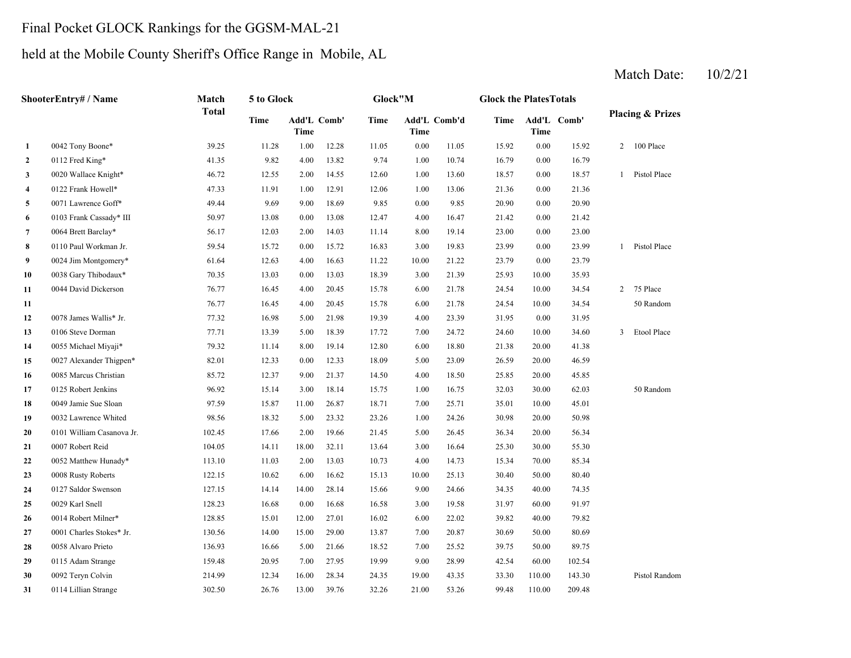#### Final Pocket GLOCK Rankings for the GGSM-MAL-21

**2**

**1**

**3**

**4**

**5**

**6**

**7**

**8**

**9**

**10**

**11**

**11**

**12**

**13**

**14**

**15**

**16**

**17**

**18**

**19**

**20**

**21**

**22**

**23**

**24**

**25**

**26**

**27**

**28**

**29**

**30**

**31**

#### held at the Mobile County Sheriff's Office Range in Mobile, AL

#### 1.00 16.79 0112 Fred King\* 41.35 9.82 4.00 13.82 9.74 1.00 18.57 0020 Wallace Knight\* 46.72 12.55 2.00 14.55 12.60 13.60 1.00 21.36 0122 Frank Howell\* 47.33 11.91 1.00 12.91 12.06 5 0071 Lawrence Goff\* 6 49.44 9.69 9.00 18.69 9.85 0.00 9.85 20.90 4.00 21.42 0103 Frank Cassady\* III 50.97 13.08 0.00 13.08 12.47 16.47 0.00 0064 Brett Barclay\* 56.17 12.03 2.00 14.03 11.14 8.00 19.14 23.00 3.00 23.99 0110 Paul Workman Jr. 59.54 15.72 0.00 15.72 16.83 9 0024 Jim Montgomery\* 61.64 12.63 4.00 16.63 11.22 10.00 21.22 23.79 0 0038 Gary Thibodaux \* 70.35 13.03 0.00 13.03 18.39 3.00 21.39 25.93 6.00 24.54 0044 David Dickerson 76.77 16.45 4.00 20.45 15.78 21.78 1 1 24.54 16.45 16.45 16.45 16.45 16.46 16.78 16.00 21.78 24.54 4.00 31.95 0078 James Wallis\* Jr. 77.32 16.98 5.00 21.98 19.39 23.39 7.00 24.60 0106 Steve Dorman 77.71 13.39 5.00 18.39 17.72 24.72 10.00 6.00 21.38 0055 Michael Miyaji\* 79.32 11.14 8.00 19.14 12.80 18.80 5 0027 Alexander Thigpen\* 82.01 12.33 0.00 12.33 18.09 5.00 23.09 26.59 20.00 4.00 25.85 0085 Marcus Christian 85.72 12.37 9.00 21.37 14.50 18.50 20.00 45.85 1.00 32.03 0125 Robert Jenkins 96.92 15.14 3.00 18.14 15.75 7.00 35.01 0049 Jamie Sue Sloan 97.59 15.87 11.00 26.87 18.71 1.00 30.98 0032 Lawrence Whited 98.56 18.32 5.00 23.32 23.26 24.26 5.00 36.34 0101 William Casanova Jr. 102.45 17.66 2.00 19.66 21.45 26.45 20.00 0007 Robert Reid 25.30 104.05 14.11 18.00 32.11 13.64 3.00 16.64 25.30 2 0052 Matthew Hunady\* 113.10 11.03 2.00 13.03 10.73 4.00 14.73 15.34 **3** 0008 Rusty Roberts 122.15 10.62 6.00 16.62 15.13 10.00 25.13 30.40 9.00 34.35 0127 Saldor Swenson 127.15 14.14 14.00 28.14 15.66 24.66 40.00 3.00 31.97 6.00 39.82 0014 Robert Milner\* 128.85 15.01 12.00 27.01 16.02 7.00 30.69 0001 Charles Stokes\* Jr. 130.56 14.00 15.00 29.00 13.87 20.87 50.00 80.69 22.02 40.00 79.82 74.35 0029 Karl Snell 128.23 16.68 0.00 16.68 16.58 19.58 60.00 91.97 50.00 80.40 14.73 15.34 70.00 85.34 56.34 0007 Robert Reid 104.05 14.11 18.00 32.11 13.64 16.64 30.00 55.30 20.00 50.98 25.71 35.01 10.00 45.01 16.75 30.00 62.03 50 Random 46.5920.00 41.38 34.60 3 Etool Place 0.00 31.95 10.00 34.54 50 Random 10.00 34.54 2 75 Place 76.77 16.45 4.00 20.45 15.78 21.78 21.39 10.00 35.93 11.22 21.22 0.00 23.79 19.83 23.99 0.00 23.99 1 Pistol Place 21.42 0064 Brett Barclay\* 56.17 12.03 2.00 14.03 11.14 19.14 0.00 23.00 0.00 20.90 13.06 0.00 21.36 0.00 18.57 1 Pistol Place 10.74 0.00 16.79 11.05 15.92 0.00 15.92 2 100 Place **Add'L Comb' Time** 0042 Tony Boone\* 39.25 11.28 1.00 12.28 11.05 0.00 **Add'LTimeComb' Time Add'L Comb'd Time TimeShooterEntry# / Name Match Total5 to Glock Glock"M Glock the PlatesTotalsPlacing & Prizes Time**

7.00 39.75 0058 Alvaro Prieto 136.93 16.66 5.00 21.66 18.52 25.52 50.00

19.00 33.30 0092 Teryn Colvin 214.99 12.34 16.00 28.34 24.35

9.00 42.54 0115 Adam Strange 159.48 20.95 7.00 27.95 19.99 28.99 60.00 102.54

1 0114 Lillian Strange 302.50 26.76 13.00 39.76 32.26 21.00 53.26 99.48 110.00 209.48

Match Date: 10/2/21

43.35 110.00 143.30 Pistol Random

89.75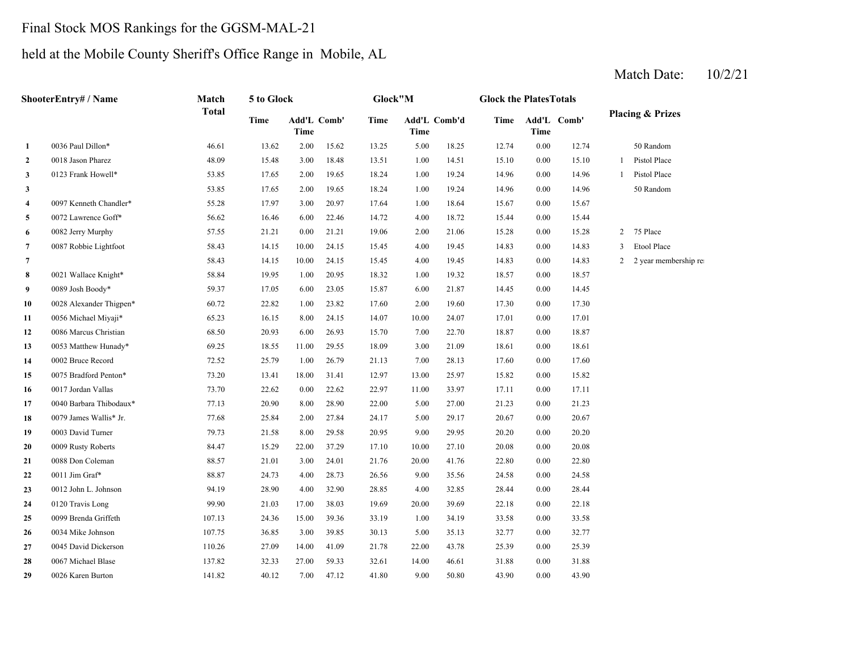# Final Stock MOS Rankings for the GGSM-MAL-21

# held at the Mobile County Sheriff's Office Range in Mobile, AL

|                | ShooterEntry# / Name    | Match<br><b>Total</b> | 5 to Glock  |                     |       | Glock"M     |             |              | <b>Glock the PlatesTotals</b> |                     |       |                |                             |
|----------------|-------------------------|-----------------------|-------------|---------------------|-------|-------------|-------------|--------------|-------------------------------|---------------------|-------|----------------|-----------------------------|
|                |                         |                       | <b>Time</b> | Add'L Comb'<br>Time |       | <b>Time</b> | <b>Time</b> | Add'L Comb'd | Time                          | Add'L Comb'<br>Time |       |                | <b>Placing &amp; Prizes</b> |
| $\mathbf{1}$   | 0036 Paul Dillon*       | 46.61                 | 13.62       | 2.00                | 15.62 | 13.25       | 5.00        | 18.25        | 12.74                         | 0.00                | 12.74 |                | 50 Random                   |
| $\overline{2}$ | 0018 Jason Pharez       | 48.09                 | 15.48       | 3.00                | 18.48 | 13.51       | $1.00\,$    | 14.51        | 15.10                         | 0.00                | 15.10 | 1              | Pistol Place                |
| 3              | 0123 Frank Howell*      | 53.85                 | 17.65       | 2.00                | 19.65 | 18.24       | 1.00        | 19.24        | 14.96                         | 0.00                | 14.96 | 1              | Pistol Place                |
| $\mathbf{3}$   |                         | 53.85                 | 17.65       | 2.00                | 19.65 | 18.24       | 1.00        | 19.24        | 14.96                         | 0.00                | 14.96 |                | 50 Random                   |
| $\overline{4}$ | 0097 Kenneth Chandler*  | 55.28                 | 17.97       | 3.00                | 20.97 | 17.64       | 1.00        | 18.64        | 15.67                         | 0.00                | 15.67 |                |                             |
| 5              | 0072 Lawrence Goff*     | 56.62                 | 16.46       | 6.00                | 22.46 | 14.72       | 4.00        | 18.72        | 15.44                         | 0.00                | 15.44 |                |                             |
| 6              | 0082 Jerry Murphy       | 57.55                 | 21.21       | 0.00                | 21.21 | 19.06       | 2.00        | 21.06        | 15.28                         | 0.00                | 15.28 | $\overline{2}$ | 75 Place                    |
| $\overline{7}$ | 0087 Robbie Lightfoot   | 58.43                 | 14.15       | 10.00               | 24.15 | 15.45       | 4.00        | 19.45        | 14.83                         | 0.00                | 14.83 | 3              | <b>Etool Place</b>          |
| $\overline{7}$ |                         | 58.43                 | 14.15       | 10.00               | 24.15 | 15.45       | 4.00        | 19.45        | 14.83                         | 0.00                | 14.83 | 2              | 2 year membership re        |
| 8              | 0021 Wallace Knight*    | 58.84                 | 19.95       | 1.00                | 20.95 | 18.32       | 1.00        | 19.32        | 18.57                         | 0.00                | 18.57 |                |                             |
| 9              | 0089 Josh Boody*        | 59.37                 | 17.05       | 6.00                | 23.05 | 15.87       | 6.00        | 21.87        | 14.45                         | $0.00\,$            | 14.45 |                |                             |
| 10             | 0028 Alexander Thigpen* | 60.72                 | 22.82       | 1.00                | 23.82 | 17.60       | 2.00        | 19.60        | 17.30                         | 0.00                | 17.30 |                |                             |
| 11             | 0056 Michael Miyaji*    | 65.23                 | 16.15       | 8.00                | 24.15 | 14.07       | 10.00       | 24.07        | 17.01                         | 0.00                | 17.01 |                |                             |
| 12             | 0086 Marcus Christian   | 68.50                 | 20.93       | 6.00                | 26.93 | 15.70       | 7.00        | 22.70        | 18.87                         | 0.00                | 18.87 |                |                             |
| 13             | 0053 Matthew Hunady*    | 69.25                 | 18.55       | 11.00               | 29.55 | 18.09       | 3.00        | 21.09        | 18.61                         | 0.00                | 18.61 |                |                             |
| 14             | 0002 Bruce Record       | 72.52                 | 25.79       | 1.00                | 26.79 | 21.13       | 7.00        | 28.13        | 17.60                         | 0.00                | 17.60 |                |                             |
| 15             | 0075 Bradford Penton*   | 73.20                 | 13.41       | 18.00               | 31.41 | 12.97       | 13.00       | 25.97        | 15.82                         | 0.00                | 15.82 |                |                             |
| 16             | 0017 Jordan Vallas      | 73.70                 | 22.62       | 0.00                | 22.62 | 22.97       | 11.00       | 33.97        | 17.11                         | 0.00                | 17.11 |                |                             |
| 17             | 0040 Barbara Thibodaux* | 77.13                 | 20.90       | 8.00                | 28.90 | 22.00       | 5.00        | 27.00        | 21.23                         | 0.00                | 21.23 |                |                             |
| 18             | 0079 James Wallis* Jr.  | 77.68                 | 25.84       | 2.00                | 27.84 | 24.17       | 5.00        | 29.17        | 20.67                         | 0.00                | 20.67 |                |                             |
| 19             | 0003 David Turner       | 79.73                 | 21.58       | 8.00                | 29.58 | 20.95       | 9.00        | 29.95        | 20.20                         | 0.00                | 20.20 |                |                             |
| 20             | 0009 Rusty Roberts      | 84.47                 | 15.29       | 22.00               | 37.29 | 17.10       | 10.00       | 27.10        | 20.08                         | $0.00\,$            | 20.08 |                |                             |
| 21             | 0088 Don Coleman        | 88.57                 | 21.01       | 3.00                | 24.01 | 21.76       | 20.00       | 41.76        | 22.80                         | 0.00                | 22.80 |                |                             |
| 22             | 0011 Jim Graf*          | 88.87                 | 24.73       | 4.00                | 28.73 | 26.56       | 9.00        | 35.56        | 24.58                         | 0.00                | 24.58 |                |                             |
| 23             | 0012 John L. Johnson    | 94.19                 | 28.90       | 4.00                | 32.90 | 28.85       | 4.00        | 32.85        | 28.44                         | 0.00                | 28.44 |                |                             |
| 24             | 0120 Travis Long        | 99.90                 | 21.03       | 17.00               | 38.03 | 19.69       | 20.00       | 39.69        | 22.18                         | 0.00                | 22.18 |                |                             |
| 25             | 0099 Brenda Griffeth    | 107.13                | 24.36       | 15.00               | 39.36 | 33.19       | 1.00        | 34.19        | 33.58                         | 0.00                | 33.58 |                |                             |
| 26             | 0034 Mike Johnson       | 107.75                | 36.85       | 3.00                | 39.85 | 30.13       | 5.00        | 35.13        | 32.77                         | 0.00                | 32.77 |                |                             |
| 27             | 0045 David Dickerson    | 110.26                | 27.09       | 14.00               | 41.09 | 21.78       | 22.00       | 43.78        | 25.39                         | 0.00                | 25.39 |                |                             |
| 28             | 0067 Michael Blase      | 137.82                | 32.33       | 27.00               | 59.33 | 32.61       | 14.00       | 46.61        | 31.88                         | 0.00                | 31.88 |                |                             |
| 29             | 0026 Karen Burton       | 141.82                | 40.12       | 7.00                | 47.12 | 41.80       | 9.00        | 50.80        | 43.90                         | 0.00                | 43.90 |                |                             |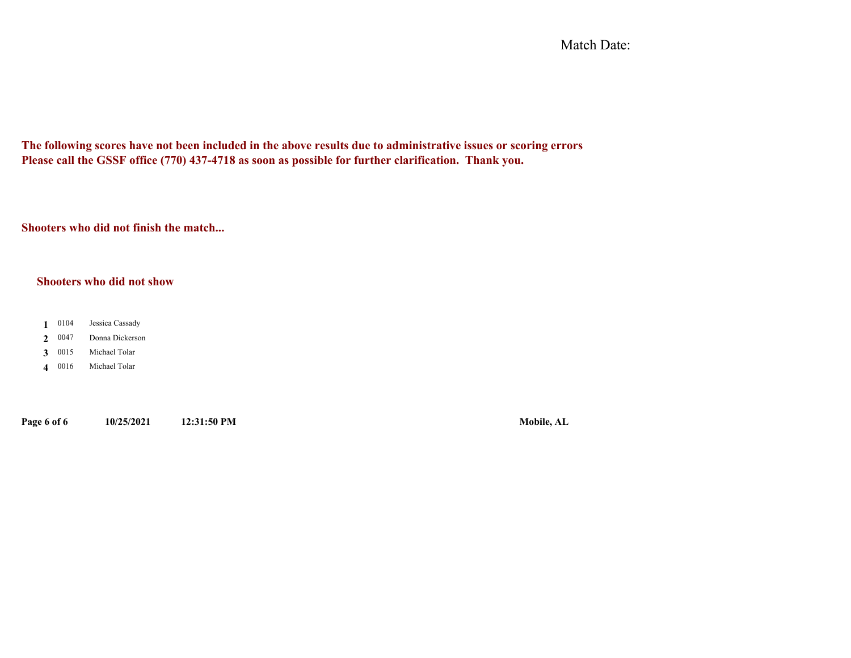Match Date:

**The following scores have not been included in the above results due to administrative issues or scoring errors Please call the GSSF office (770) 437-4718 as soon as possible for further clarification. Thank you.**

**Shooters who did not finish the match...**

#### **Shooters who did not show**

- 0104 **1**Jessica Cassady
- 0047 **2**Donna Dickerson
- 0015 **3**Michael Tolar
- 0016 **4**Michael Tolar

**Page 6 of 6 10/25/2021 12:31:50 PM Mobile, AL**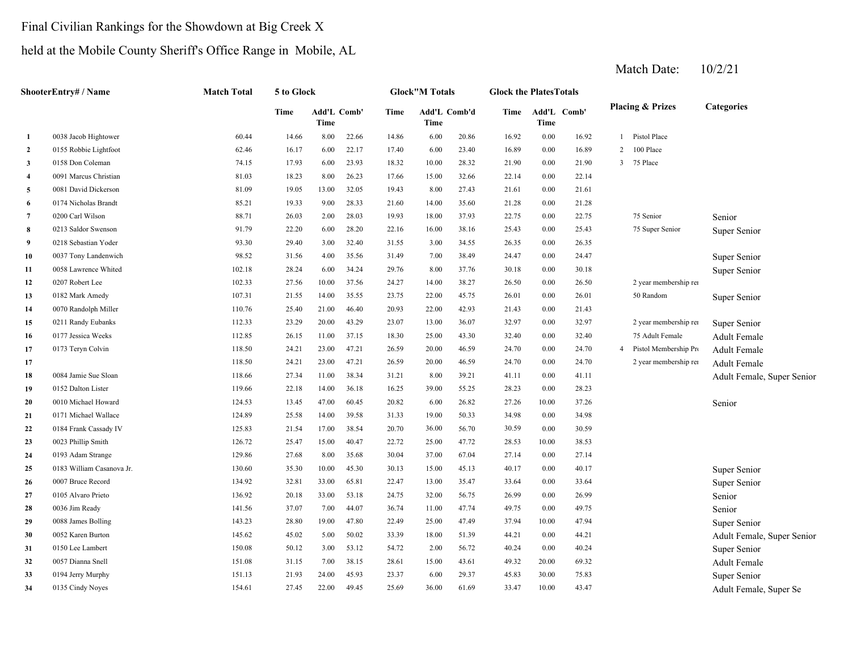#### Final Civilian Rankings for the Showdown at Big Creek X

## held at the Mobile County Sheriff's Office Range in Mobile, AL

|                         | ShooterEntry# / Name      | <b>Match Total</b> | 5 to Glock |       |             |       | <b>Glock"M Totals</b> |       | <b>Glock the PlatesTotals</b> |          |             |                |                             |                            |
|-------------------------|---------------------------|--------------------|------------|-------|-------------|-------|-----------------------|-------|-------------------------------|----------|-------------|----------------|-----------------------------|----------------------------|
|                         |                           |                    | Time       | Time  | Add'L Comb' | Time  | Add'L Comb'd<br>Time  |       | Time                          | Time     | Add'L Comb' |                | <b>Placing &amp; Prizes</b> | Categories                 |
| -1                      | 0038 Jacob Hightower      | 60.44              | 14.66      | 8.00  | 22.66       | 14.86 | 6.00                  | 20.86 | 16.92                         | $0.00\,$ | 16.92       | $\mathbf{1}$   | Pistol Place                |                            |
| $\overline{2}$          | 0155 Robbie Lightfoot     | 62.46              | 16.17      | 6.00  | 22.17       | 17.40 | 6.00                  | 23.40 | 16.89                         | $0.00\,$ | 16.89       | $\overline{2}$ | 100 Place                   |                            |
| $\overline{\mathbf{3}}$ | 0158 Don Coleman          | 74.15              | 17.93      | 6.00  | 23.93       | 18.32 | 10.00                 | 28.32 | 21.90                         | 0.00     | 21.90       |                | 3 75 Place                  |                            |
| $\overline{\mathbf{4}}$ | 0091 Marcus Christian     | 81.03              | 18.23      | 8.00  | 26.23       | 17.66 | 15.00                 | 32.66 | 22.14                         | 0.00     | 22.14       |                |                             |                            |
| 5                       | 0081 David Dickerson      | 81.09              | 19.05      | 13.00 | 32.05       | 19.43 | 8.00                  | 27.43 | 21.61                         | $0.00\,$ | 21.61       |                |                             |                            |
| -6                      | 0174 Nicholas Brandt      | 85.21              | 19.33      | 9.00  | 28.33       | 21.60 | 14.00                 | 35.60 | 21.28                         | 0.00     | 21.28       |                |                             |                            |
| $\overline{7}$          | 0200 Carl Wilson          | 88.71              | 26.03      | 2.00  | 28.03       | 19.93 | 18.00                 | 37.93 | 22.75                         | 0.00     | 22.75       |                | 75 Senior                   | Senior                     |
| 8                       | 0213 Saldor Swenson       | 91.79              | 22.20      | 6.00  | 28.20       | 22.16 | 16.00                 | 38.16 | 25.43                         | $0.00\,$ | 25.43       |                | 75 Super Senior             | Super Senior               |
| -9                      | 0218 Sebastian Yoder      | 93.30              | 29.40      | 3.00  | 32.40       | 31.55 | 3.00                  | 34.55 | 26.35                         | 0.00     | 26.35       |                |                             |                            |
| 10                      | 0037 Tony Landenwich      | 98.52              | 31.56      | 4.00  | 35.56       | 31.49 | 7.00                  | 38.49 | 24.47                         | 0.00     | 24.47       |                |                             | Super Senior               |
| 11                      | 0058 Lawrence Whited      | 102.18             | 28.24      | 6.00  | 34.24       | 29.76 | 8.00                  | 37.76 | 30.18                         | $0.00\,$ | 30.18       |                |                             | Super Senior               |
| 12                      | 0207 Robert Lee           | 102.33             | 27.56      | 10.00 | 37.56       | 24.27 | 14.00                 | 38.27 | 26.50                         | $0.00\,$ | 26.50       |                | 2 year membership rei       |                            |
| 13                      | 0182 Mark Amedy           | 107.31             | 21.55      | 14.00 | 35.55       | 23.75 | 22.00                 | 45.75 | 26.01                         | 0.00     | 26.01       |                | 50 Random                   | Super Senior               |
| 14                      | 0070 Randolph Miller      | 110.76             | 25.40      | 21.00 | 46.40       | 20.93 | 22.00                 | 42.93 | 21.43                         | 0.00     | 21.43       |                |                             |                            |
| 15                      | 0211 Randy Eubanks        | 112.33             | 23.29      | 20.00 | 43.29       | 23.07 | 13.00                 | 36.07 | 32.97                         | $0.00\,$ | 32.97       |                | 2 year membership rei       | Super Senior               |
| 16                      | 0177 Jessica Weeks        | 112.85             | 26.15      | 11.00 | 37.15       | 18.30 | 25.00                 | 43.30 | 32.40                         | $0.00\,$ | 32.40       |                | 75 Adult Female             | Adult Female               |
| 17                      | 0173 Teryn Colvin         | 118.50             | 24.21      | 23.00 | 47.21       | 26.59 | 20.00                 | 46.59 | 24.70                         | 0.00     | 24.70       | $\overline{4}$ | Pistol Membership Pro       | Adult Female               |
| 17                      |                           | 118.50             | 24.21      | 23.00 | 47.21       | 26.59 | 20.00                 | 46.59 | 24.70                         | $0.00\,$ | 24.70       |                | 2 year membership rei       | Adult Female               |
| 18                      | 0084 Jamie Sue Sloan      | 118.66             | 27.34      | 11.00 | 38.34       | 31.21 | 8.00                  | 39.21 | 41.11                         | 0.00     | 41.11       |                |                             | Adult Female, Super Senior |
| 19                      | 0152 Dalton Lister        | 119.66             | 22.18      | 14.00 | 36.18       | 16.25 | 39.00                 | 55.25 | 28.23                         | 0.00     | 28.23       |                |                             |                            |
| 20                      | 0010 Michael Howard       | 124.53             | 13.45      | 47.00 | 60.45       | 20.82 | 6.00                  | 26.82 | 27.26                         | 10.00    | 37.26       |                |                             | Senior                     |
| 21                      | 0171 Michael Wallace      | 124.89             | 25.58      | 14.00 | 39.58       | 31.33 | 19.00                 | 50.33 | 34.98                         | 0.00     | 34.98       |                |                             |                            |
| 22                      | 0184 Frank Cassady IV     | 125.83             | 21.54      | 17.00 | 38.54       | 20.70 | 36.00                 | 56.70 | 30.59                         | 0.00     | 30.59       |                |                             |                            |
| 23                      | 0023 Phillip Smith        | 126.72             | 25.47      | 15.00 | 40.47       | 22.72 | 25.00                 | 47.72 | 28.53                         | 10.00    | 38.53       |                |                             |                            |
| 24                      | 0193 Adam Strange         | 129.86             | 27.68      | 8.00  | 35.68       | 30.04 | 37.00                 | 67.04 | 27.14                         | 0.00     | 27.14       |                |                             |                            |
| 25                      | 0183 William Casanova Jr. | 130.60             | 35.30      | 10.00 | 45.30       | 30.13 | 15.00                 | 45.13 | 40.17                         | 0.00     | 40.17       |                |                             | Super Senior               |
| 26                      | 0007 Bruce Record         | 134.92             | 32.81      | 33.00 | 65.81       | 22.47 | 13.00                 | 35.47 | 33.64                         | 0.00     | 33.64       |                |                             | Super Senior               |
| 27                      | 0105 Alvaro Prieto        | 136.92             | 20.18      | 33.00 | 53.18       | 24.75 | 32.00                 | 56.75 | 26.99                         | $0.00\,$ | 26.99       |                |                             | Senior                     |
| 28                      | 0036 Jim Ready            | 141.56             | 37.07      | 7.00  | 44.07       | 36.74 | 11.00                 | 47.74 | 49.75                         | 0.00     | 49.75       |                |                             | Senior                     |
| 29                      | 0088 James Bolling        | 143.23             | 28.80      | 19.00 | 47.80       | 22.49 | 25.00                 | 47.49 | 37.94                         | 10.00    | 47.94       |                |                             | Super Senior               |
| 30                      | 0052 Karen Burton         | 145.62             | 45.02      | 5.00  | 50.02       | 33.39 | 18.00                 | 51.39 | 44.21                         | 0.00     | 44.21       |                |                             | Adult Female, Super Senior |
| 31                      | 0150 Lee Lambert          | 150.08             | 50.12      | 3.00  | 53.12       | 54.72 | 2.00                  | 56.72 | 40.24                         | 0.00     | 40.24       |                |                             | Super Senior               |
| 32                      | 0057 Dianna Snell         | 151.08             | 31.15      | 7.00  | 38.15       | 28.61 | 15.00                 | 43.61 | 49.32                         | 20.00    | 69.32       |                |                             | Adult Female               |
| 33                      | 0194 Jerry Murphy         | 151.13             | 21.93      | 24.00 | 45.93       | 23.37 | 6.00                  | 29.37 | 45.83                         | 30.00    | 75.83       |                |                             | Super Senior               |
| 34                      | 0135 Cindy Noyes          | 154.61             | 27.45      | 22.00 | 49.45       | 25.69 | 36.00                 | 61.69 | 33.47                         | 10.00    | 43.47       |                |                             | Adult Female, Super Se     |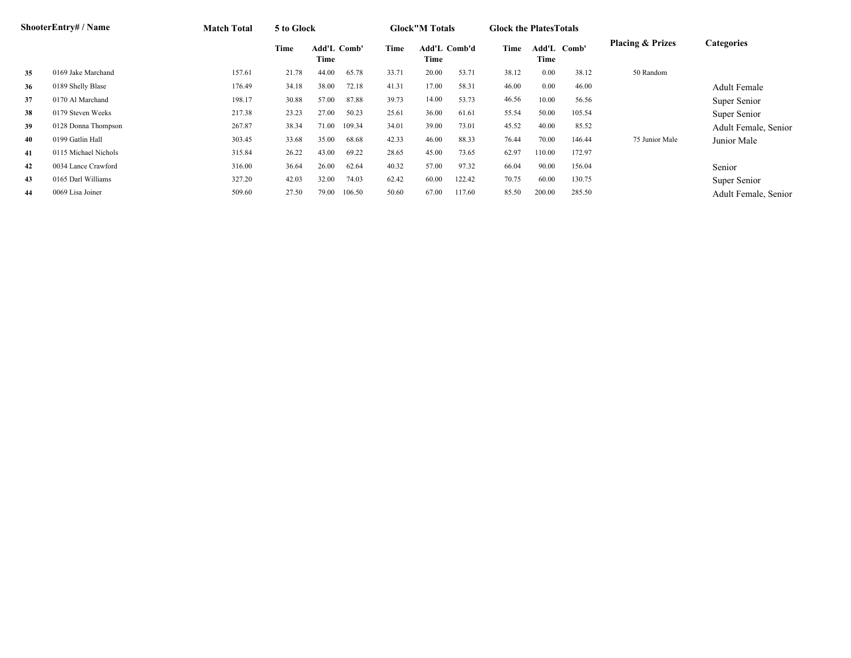|    | <b>ShooterEntry#/Name</b> | <b>Match Total</b> | 5 to Glock |                            |        |       | <b>Glock"M Totals</b> |        | <b>Glock the Plates Totals</b> |                     |        |                             |                      |
|----|---------------------------|--------------------|------------|----------------------------|--------|-------|-----------------------|--------|--------------------------------|---------------------|--------|-----------------------------|----------------------|
|    |                           |                    | Time       | <b>Add'L Comb'</b><br>Time |        | Time  | Add'L Comb'd<br>Time  |        | Time                           | Add'L Comb'<br>Time |        | <b>Placing &amp; Prizes</b> | <b>Categories</b>    |
| 35 | 0169 Jake Marchand        | 157.61             | 21.78      | 44.00                      | 65.78  | 33.71 | 20.00                 | 53.71  | 38.12                          | 0.00                | 38.12  | 50 Random                   |                      |
| 36 | 0189 Shelly Blase         | 176.49             | 34.18      | 38.00                      | 72.18  | 41.31 | 17.00                 | 58.31  | 46.00                          | 0.00                | 46.00  |                             | <b>Adult Female</b>  |
| 37 | 0170 Al Marchand          | 198.17             | 30.88      | 57.00                      | 87.88  | 39.73 | 14.00                 | 53.73  | 46.56                          | 10.00               | 56.56  |                             | Super Senior         |
| 38 | 0179 Steven Weeks         | 217.38             | 23.23      | 27.00                      | 50.23  | 25.61 | 36.00                 | 61.61  | 55.54                          | 50.00               | 105.54 |                             | Super Senior         |
| 39 | 0128 Donna Thompson       | 267.87             | 38.34      | 71.00                      | 109.34 | 34.01 | 39.00                 | 73.01  | 45.52                          | 40.00               | 85.52  |                             | Adult Female, Senior |
| 40 | 0199 Gatlin Hall          | 303.45             | 33.68      | 35.00                      | 68.68  | 42.33 | 46.00                 | 88.33  | 76.44                          | 70.00               | 146.44 | 75 Junior Male              | Junior Male          |
| 41 | 0115 Michael Nichols      | 315.84             | 26.22      | 43.00                      | 69.22  | 28.65 | 45.00                 | 73.65  | 62.97                          | 110.00              | 172.97 |                             |                      |
| 42 | 0034 Lance Crawford       | 316.00             | 36.64      | 26.00                      | 62.64  | 40.32 | 57.00                 | 97.32  | 66.04                          | 90.00               | 156.04 |                             | Senior               |
| 43 | 0165 Darl Williams        | 327.20             | 42.03      | 32.00                      | 74.03  | 62.42 | 60.00                 | 122.42 | 70.75                          | 60.00               | 130.75 |                             | Super Senior         |
| 44 | 0069 Lisa Joiner          | 509.60             | 27.50      | 79.00                      | 106.50 | 50.60 | 67.00                 | 117.60 | 85.50                          | 200.00              | 285.50 |                             | Adult Female, Senior |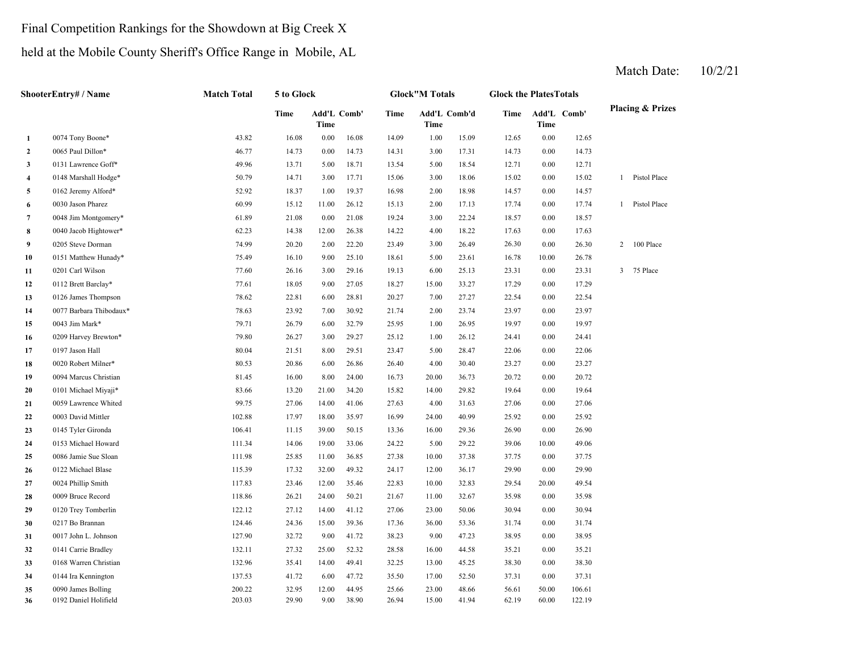#### Final Competition Rankings for the Showdown at Big Creek X

## held at the Mobile County Sheriff's Office Range in Mobile, AL

|                         | ShooterEntry# / Name    | <b>Match Total</b> | 5 to Glock |          |                    |       | <b>Glock"M Totals</b> |              | <b>Glock the PlatesTotals</b> |                     |        |                |                             |
|-------------------------|-------------------------|--------------------|------------|----------|--------------------|-------|-----------------------|--------------|-------------------------------|---------------------|--------|----------------|-----------------------------|
|                         |                         |                    | Time       | Time     | <b>Add'L Comb'</b> | Time  | Time                  | Add'L Comb'd | Time                          | Add'L Comb'<br>Time |        |                | <b>Placing &amp; Prizes</b> |
| $\mathbf{1}$            | 0074 Tony Boone*        | 43.82              | 16.08      | $0.00\,$ | 16.08              | 14.09 | 1.00                  | 15.09        | 12.65                         | 0.00                | 12.65  |                |                             |
| $\overline{2}$          | 0065 Paul Dillon*       | 46.77              | 14.73      | 0.00     | 14.73              | 14.31 | 3.00                  | 17.31        | 14.73                         | 0.00                | 14.73  |                |                             |
| $\mathbf{3}$            | 0131 Lawrence Goff*     | 49.96              | 13.71      | 5.00     | 18.71              | 13.54 | 5.00                  | 18.54        | 12.71                         | 0.00                | 12.71  |                |                             |
| $\overline{\mathbf{4}}$ | 0148 Marshall Hodge*    | 50.79              | 14.71      | 3.00     | 17.71              | 15.06 | 3.00                  | 18.06        | 15.02                         | 0.00                | 15.02  |                | 1 Pistol Place              |
| 5                       | 0162 Jeremy Alford*     | 52.92              | 18.37      | 1.00     | 19.37              | 16.98 | 2.00                  | 18.98        | 14.57                         | 0.00                | 14.57  |                |                             |
| 6                       | 0030 Jason Pharez       | 60.99              | 15.12      | 11.00    | 26.12              | 15.13 | 2.00                  | 17.13        | 17.74                         | 0.00                | 17.74  | $\mathbf{1}$   | Pistol Place                |
| $\overline{7}$          | 0048 Jim Montgomery*    | 61.89              | 21.08      | 0.00     | 21.08              | 19.24 | 3.00                  | 22.24        | 18.57                         | 0.00                | 18.57  |                |                             |
| 8                       | 0040 Jacob Hightower*   | 62.23              | 14.38      | 12.00    | 26.38              | 14.22 | 4.00                  | 18.22        | 17.63                         | 0.00                | 17.63  |                |                             |
| 9                       | 0205 Steve Dorman       | 74.99              | 20.20      | 2.00     | 22.20              | 23.49 | 3.00                  | 26.49        | 26.30                         | 0.00                | 26.30  | $\overline{2}$ | 100 Place                   |
| 10                      | 0151 Matthew Hunady*    | 75.49              | 16.10      | 9.00     | 25.10              | 18.61 | 5.00                  | 23.61        | 16.78                         | 10.00               | 26.78  |                |                             |
| 11                      | 0201 Carl Wilson        | 77.60              | 26.16      | 3.00     | 29.16              | 19.13 | 6.00                  | 25.13        | 23.31                         | 0.00                | 23.31  | 3              | 75 Place                    |
| 12                      | 0112 Brett Barclay*     | 77.61              | 18.05      | 9.00     | 27.05              | 18.27 | 15.00                 | 33.27        | 17.29                         | 0.00                | 17.29  |                |                             |
| 13                      | 0126 James Thompson     | 78.62              | 22.81      | 6.00     | 28.81              | 20.27 | 7.00                  | 27.27        | 22.54                         | 0.00                | 22.54  |                |                             |
| 14                      | 0077 Barbara Thibodaux* | 78.63              | 23.92      | 7.00     | 30.92              | 21.74 | 2.00                  | 23.74        | 23.97                         | 0.00                | 23.97  |                |                             |
| 15                      | 0043 Jim Mark*          | 79.71              | 26.79      | 6.00     | 32.79              | 25.95 | 1.00                  | 26.95        | 19.97                         | 0.00                | 19.97  |                |                             |
| 16                      | 0209 Harvey Brewton*    | 79.80              | 26.27      | 3.00     | 29.27              | 25.12 | 1.00                  | 26.12        | 24.41                         | 0.00                | 24.41  |                |                             |
| 17                      | 0197 Jason Hall         | 80.04              | 21.51      | 8.00     | 29.51              | 23.47 | 5.00                  | 28.47        | 22.06                         | 0.00                | 22.06  |                |                             |
| 18                      | 0020 Robert Milner*     | 80.53              | 20.86      | 6.00     | 26.86              | 26.40 | 4.00                  | 30.40        | 23.27                         | 0.00                | 23.27  |                |                             |
| 19                      | 0094 Marcus Christian   | 81.45              | 16.00      | 8.00     | 24.00              | 16.73 | 20.00                 | 36.73        | 20.72                         | 0.00                | 20.72  |                |                             |
| 20                      | 0101 Michael Miyaji*    | 83.66              | 13.20      | 21.00    | 34.20              | 15.82 | 14.00                 | 29.82        | 19.64                         | 0.00                | 19.64  |                |                             |
| 21                      | 0059 Lawrence Whited    | 99.75              | 27.06      | 14.00    | 41.06              | 27.63 | 4.00                  | 31.63        | 27.06                         | 0.00                | 27.06  |                |                             |
| 22                      | 0003 David Mittler      | 102.88             | 17.97      | 18.00    | 35.97              | 16.99 | 24.00                 | 40.99        | 25.92                         | 0.00                | 25.92  |                |                             |
| 23                      | 0145 Tyler Gironda      | 106.41             | 11.15      | 39.00    | 50.15              | 13.36 | 16.00                 | 29.36        | 26.90                         | 0.00                | 26.90  |                |                             |
| 24                      | 0153 Michael Howard     | 111.34             | 14.06      | 19.00    | 33.06              | 24.22 | 5.00                  | 29.22        | 39.06                         | 10.00               | 49.06  |                |                             |
| 25                      | 0086 Jamie Sue Sloan    | 111.98             | 25.85      | 11.00    | 36.85              | 27.38 | 10.00                 | 37.38        | 37.75                         | 0.00                | 37.75  |                |                             |
| 26                      | 0122 Michael Blase      | 115.39             | 17.32      | 32.00    | 49.32              | 24.17 | 12.00                 | 36.17        | 29.90                         | 0.00                | 29.90  |                |                             |
| 27                      | 0024 Phillip Smith      | 117.83             | 23.46      | 12.00    | 35.46              | 22.83 | 10.00                 | 32.83        | 29.54                         | 20.00               | 49.54  |                |                             |
| 28                      | 0009 Bruce Record       | 118.86             | 26.21      | 24.00    | 50.21              | 21.67 | 11.00                 | 32.67        | 35.98                         | 0.00                | 35.98  |                |                             |
| 29                      | 0120 Trey Tomberlin     | 122.12             | 27.12      | 14.00    | 41.12              | 27.06 | 23.00                 | 50.06        | 30.94                         | 0.00                | 30.94  |                |                             |
| 30                      | 0217 Bo Brannan         | 124.46             | 24.36      | 15.00    | 39.36              | 17.36 | 36.00                 | 53.36        | 31.74                         | 0.00                | 31.74  |                |                             |
| 31                      | 0017 John L. Johnson    | 127.90             | 32.72      | 9.00     | 41.72              | 38.23 | 9.00                  | 47.23        | 38.95                         | 0.00                | 38.95  |                |                             |
| 32                      | 0141 Carrie Bradley     | 132.11             | 27.32      | 25.00    | 52.32              | 28.58 | 16.00                 | 44.58        | 35.21                         | 0.00                | 35.21  |                |                             |
| 33                      | 0168 Warren Christian   | 132.96             | 35.41      | 14.00    | 49.41              | 32.25 | 13.00                 | 45.25        | 38.30                         | 0.00                | 38.30  |                |                             |
| 34                      | 0144 Ira Kennington     | 137.53             | 41.72      | 6.00     | 47.72              | 35.50 | 17.00                 | 52.50        | 37.31                         | 0.00                | 37.31  |                |                             |
| 35                      | 0090 James Bolling      | 200.22             | 32.95      | 12.00    | 44.95              | 25.66 | 23.00                 | 48.66        | 56.61                         | 50.00               | 106.61 |                |                             |
| 36                      | 0192 Daniel Holifield   | 203.03             | 29.90      | 9.00     | 38.90              | 26.94 | 15.00                 | 41.94        | 62.19                         | 60.00               | 122.19 |                |                             |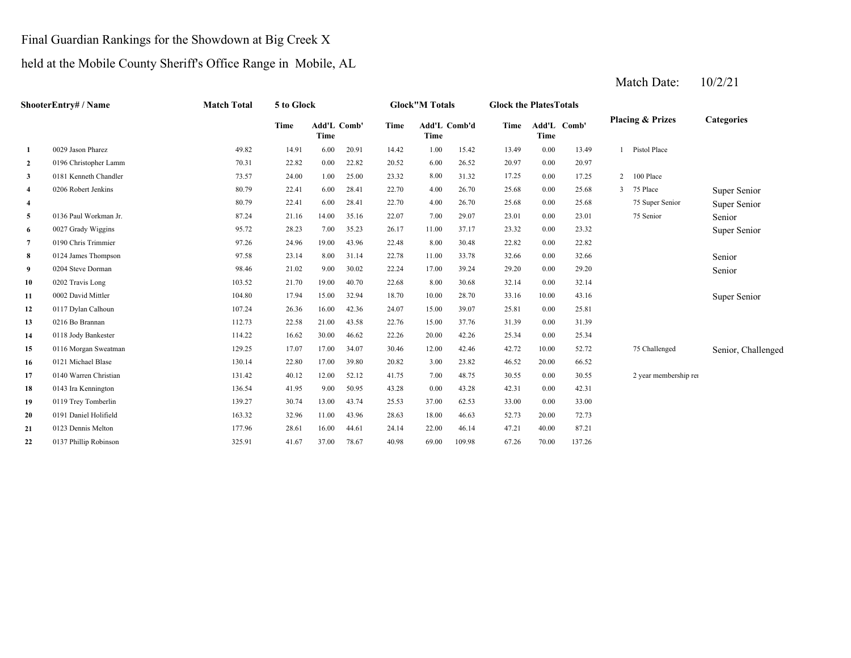#### Final Guardian Rankings for the Showdown at Big Creek X

#### held at the Mobile County Sheriff's Office Range in Mobile, AL

**2** 6.00 20.97 0196 Christopher Lamm 70.31 22.82 0.00 22.82 20.52 26.52 0.00 **33** 0181 Kenneth Chandler 73.57 24.00 1.00 25.00 23.32 8.00 31.32 17.25 0.00 17.25 **4** 4.00 25.68 Super Senior **4**4 22.41 6.00 28.41 22.70 4.00 26.70 25.68 0.00 25.68 75 Super Senior Super Senior **5** 7.00 23.01 Senior**6**6 0027 Grady Wiggins 5 1 28.72 28.23 7.00 35.23 26.17 11.00 37.17 23.32 0.00 23.32 11.00 37.17 22.32 **7** 8.00 22.82 0190 Chris Trimmier 97.26 24.96 19.00 43.96 22.48 30.48 0.00 22.82 **8**8 0124 James Thompson 2 07.58 97.58 23.14 8.00 31.14 22.78 11.00 33.78 32.66 0.00 32.66 200 32.66 Senior Senior **9** 17.00 29.20 SeniorSenior **10**00 0202 Travis Long 103.52 21.70 19.00 40.70 22.68 8.00 30.68 32.14 0.00 **11**1 0002 David Mittler (1993) 104.80 17.94 15.00 32.94 18.70 10.00 28.70 33.16 10.00 43.16 10.00 10.00 Super Senior **12**2 0117 Dylan Calhoun 107.24 26.36 16.00 42.36 24.07 15.00 39.07 25.81 **13** 15.00 31.39 0216 Bo Brannan 112.73 22.58 21.00 43.58 22.76 37.76 **14** 20.00 25.34 0118 Jody Bankester 114.22 16.62 30.00 46.62 22.26 **15** 12.00 42.72 Senior, Challenged **16**6 0121 Michael Blase 6 130.14 22.80 17.00 39.80 20.82 3.00 23.82 46.52 **17** 7.00 30.55 0140 Warren Christian 131.42 40.12 12.00 52.12 41.75 48.75 **18**8 0143 Ira Kennington 136.54 41.95 9.00 50.95 43.28 0.00 43.28 42.31 **193** 0119 Trey Tomberlin 139.27 13.00 43.74 13.00 43.74 25.53 37.00 62.53 33.00 **20**0 0191 Daniel Holifield 163.32 32.96 11.00 43.96 28.63 18.00 46.63 52.73 20.00 **21**1 0123 Dennis Melton 177.96 28.61 16.00 44.61 24.14 22.00 46.14 47.21 40.00 87.21 **22**0137 Phillip Robinson 325.91 41.67 37.00 78.67 40.98 69.00 109.98 67.26 70.00 137.26 72.730.00 33.00 43.28 0.00 42.31 0.00 30.55 2 year membership ren 23.82 20.00 66.52 10.00 52.72 75 Challenged 0121 Michael Blase 130.14 22.80 17.00 39.80 0116 Morgan Sweatman 20.82129.25 17.07 17.00 34.07 30.46 31.39 42.26 0.00 25.34 42.46 0.0039.07 0.00 25.81 32.140002 David Mittler 10.00 104.80 17.94 15.00 32.94 18.70 10.00 28.70 33.16 10.00 43.16 0.00 29.20 33.78 0.00 32.66 0204 Steve Dorman **98.46** 21.02 9.00 30.02 22.24 17.00 39.24 0124 James Thompson 97.58 23.14 8.00 31.14 22.78 23.32 23.01 75 Senior 0027 Grady Wiggins **95.72** 28.23 7.00 35.23 26.17 11.00 37.17 23.32 0.00 25.68 75 Super Senior 0136 Paul Workman Jr. 6.000 136 Paul Workman Jr. 87.24 21.16 14.00 35.16 22.07 7.00 29.07 23.01 0.00 25.68 3 75 Place 80.79 22.41 6.00 28.41 22.70 26.70 0.00 2 100 Place 0206 Robert Jenkins 80.79 22.41 6.00 28.41 22.70 26.70 0.00 20.971 Pistol Place **1** 0029 Jason Pharez 49.82 14.91 6.00 20.91 14.42 1.00 15.42 13.49 0.00 13.49 **Categories Time Add'L TimeComb' Time Add'L Comb'd Time Add'L TimeTime**Add'L Comb' **ShooterEntry# / Name Match Total 5 to Glock Glock"M Totals Glock the PlatesTotals Placing & Prizes**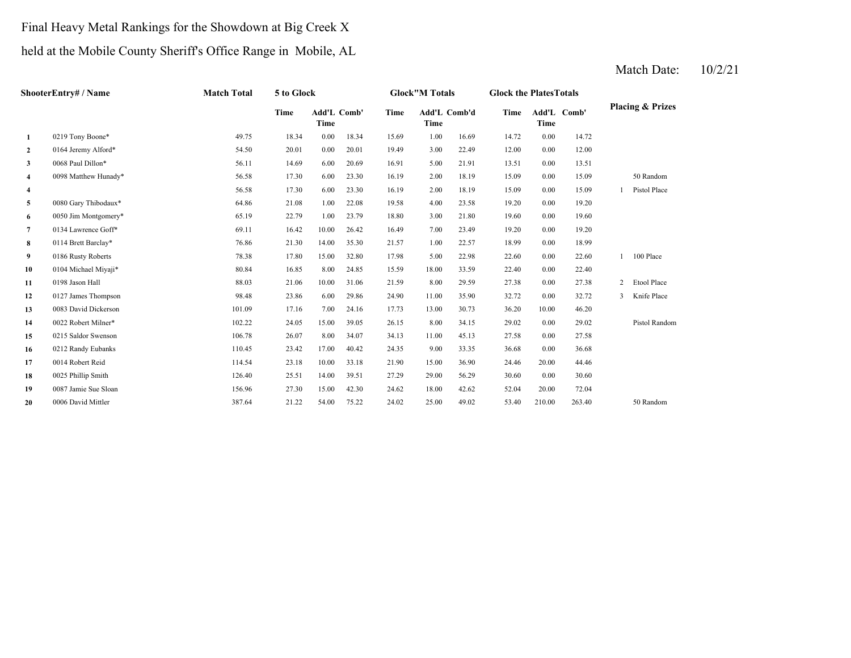## Final Heavy Metal Rankings for the Showdown at Big Creek X

## held at the Mobile County Sheriff's Office Range in Mobile, AL

|                | ShooterEntry# / Name | <b>Match Total</b> | 5 to Glock |                     |       |       | <b>Glock"M Totals</b> |       | <b>Glock the PlatesTotals</b> |        |             |   |                             |
|----------------|----------------------|--------------------|------------|---------------------|-------|-------|-----------------------|-------|-------------------------------|--------|-------------|---|-----------------------------|
|                |                      |                    | Time       | Add'L Comb'<br>Time |       | Time  | Add'L Comb'd<br>Time  |       | Time                          | Time   | Add'L Comb' |   | <b>Placing &amp; Prizes</b> |
| 1              | 0219 Tony Boone*     | 49.75              | 18.34      | 0.00                | 18.34 | 15.69 | 1.00                  | 16.69 | 14.72                         | 0.00   | 14.72       |   |                             |
| $\overline{2}$ | 0164 Jeremy Alford*  | 54.50              | 20.01      | 0.00                | 20.01 | 19.49 | 3.00                  | 22.49 | 12.00                         | 0.00   | 12.00       |   |                             |
| 3              | 0068 Paul Dillon*    | 56.11              | 14.69      | 6.00                | 20.69 | 16.91 | 5.00                  | 21.91 | 13.51                         | 0.00   | 13.51       |   |                             |
| 4              | 0098 Matthew Hunady* | 56.58              | 17.30      | 6.00                | 23.30 | 16.19 | 2.00                  | 18.19 | 15.09                         | 0.00   | 15.09       |   | 50 Random                   |
| 4              |                      | 56.58              | 17.30      | 6.00                | 23.30 | 16.19 | 2.00                  | 18.19 | 15.09                         | 0.00   | 15.09       |   | Pistol Place                |
| 5              | 0080 Gary Thibodaux* | 64.86              | 21.08      | 1.00                | 22.08 | 19.58 | 4.00                  | 23.58 | 19.20                         | 0.00   | 19.20       |   |                             |
| 6              | 0050 Jim Montgomery* | 65.19              | 22.79      | 1.00                | 23.79 | 18.80 | 3.00                  | 21.80 | 19.60                         | 0.00   | 19.60       |   |                             |
| 7              | 0134 Lawrence Goff*  | 69.11              | 16.42      | 10.00               | 26.42 | 16.49 | 7.00                  | 23.49 | 19.20                         | 0.00   | 19.20       |   |                             |
| 8              | 0114 Brett Barclay*  | 76.86              | 21.30      | 14.00               | 35.30 | 21.57 | 1.00                  | 22.57 | 18.99                         | 0.00   | 18.99       |   |                             |
| 9              | 0186 Rusty Roberts   | 78.38              | 17.80      | 15.00               | 32.80 | 17.98 | 5.00                  | 22.98 | 22.60                         | 0.00   | 22.60       |   | 100 Place                   |
| 10             | 0104 Michael Miyaji* | 80.84              | 16.85      | 8.00                | 24.85 | 15.59 | 18.00                 | 33.59 | 22.40                         | 0.00   | 22.40       |   |                             |
| 11             | 0198 Jason Hall      | 88.03              | 21.06      | 10.00               | 31.06 | 21.59 | 8.00                  | 29.59 | 27.38                         | 0.00   | 27.38       | 2 | Etool Place                 |
| 12             | 0127 James Thompson  | 98.48              | 23.86      | 6.00                | 29.86 | 24.90 | 11.00                 | 35.90 | 32.72                         | 0.00   | 32.72       | 3 | Knife Place                 |
| 13             | 0083 David Dickerson | 101.09             | 17.16      | 7.00                | 24.16 | 17.73 | 13.00                 | 30.73 | 36.20                         | 10.00  | 46.20       |   |                             |
| 14             | 0022 Robert Milner*  | 102.22             | 24.05      | 15.00               | 39.05 | 26.15 | 8.00                  | 34.15 | 29.02                         | 0.00   | 29.02       |   | Pistol Random               |
| 15             | 0215 Saldor Swenson  | 106.78             | 26.07      | 8.00                | 34.07 | 34.13 | 11.00                 | 45.13 | 27.58                         | 0.00   | 27.58       |   |                             |
| 16             | 0212 Randy Eubanks   | 110.45             | 23.42      | 17.00               | 40.42 | 24.35 | 9.00                  | 33.35 | 36.68                         | 0.00   | 36.68       |   |                             |
| 17             | 0014 Robert Reid     | 114.54             | 23.18      | 10.00               | 33.18 | 21.90 | 15.00                 | 36.90 | 24.46                         | 20.00  | 44.46       |   |                             |
| 18             | 0025 Phillip Smith   | 126.40             | 25.51      | 14.00               | 39.51 | 27.29 | 29.00                 | 56.29 | 30.60                         | 0.00   | 30.60       |   |                             |
| 19             | 0087 Jamie Sue Sloan | 156.96             | 27.30      | 15.00               | 42.30 | 24.62 | 18.00                 | 42.62 | 52.04                         | 20.00  | 72.04       |   |                             |
| 20             | 0006 David Mittler   | 387.64             | 21.22      | 54.00               | 75.22 | 24.02 | 25.00                 | 49.02 | 53.40                         | 210.00 | 263.40      |   | 50 Random                   |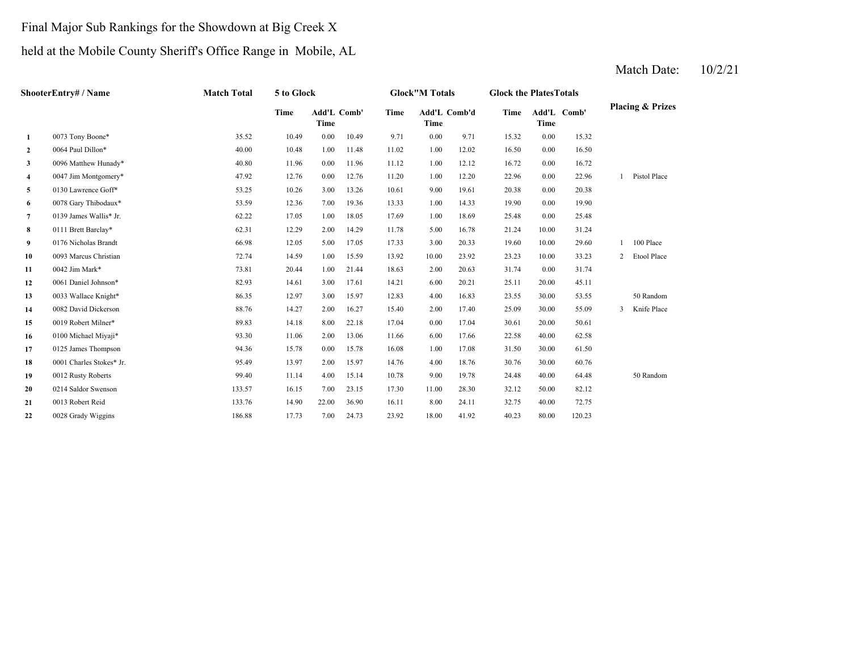# Final Major Sub Rankings for the Showdown at Big Creek X

## held at the Mobile County Sheriff's Office Range in Mobile, AL

|              | ShooterEntry# / Name     | <b>Match Total</b> | 5 to Glock |                     |       |       | <b>Glock"M Totals</b> |       | <b>Glock the PlatesTotals</b> |       |             |                |                             |
|--------------|--------------------------|--------------------|------------|---------------------|-------|-------|-----------------------|-------|-------------------------------|-------|-------------|----------------|-----------------------------|
|              |                          |                    | Time       | Add'L Comb'<br>Time |       | Time  | Add'L Comb'd<br>Time  |       | Time                          | Time  | Add'L Comb' |                | <b>Placing &amp; Prizes</b> |
| 1            | 0073 Tony Boone*         | 35.52              | 10.49      | 0.00                | 10.49 | 9.71  | 0.00                  | 9.71  | 15.32                         | 0.00  | 15.32       |                |                             |
| $\mathbf{2}$ | 0064 Paul Dillon*        | 40.00              | 10.48      | 1.00                | 11.48 | 11.02 | 1.00                  | 12.02 | 16.50                         | 0.00  | 16.50       |                |                             |
| 3            | 0096 Matthew Hunady*     | 40.80              | 11.96      | 0.00                | 11.96 | 11.12 | 1.00                  | 12.12 | 16.72                         | 0.00  | 16.72       |                |                             |
| 4            | 0047 Jim Montgomery*     | 47.92              | 12.76      | 0.00                | 12.76 | 11.20 | 1.00                  | 12.20 | 22.96                         | 0.00  | 22.96       |                | 1 Pistol Place              |
| 5            | 0130 Lawrence Goff*      | 53.25              | 10.26      | 3.00                | 13.26 | 10.61 | 9.00                  | 19.61 | 20.38                         | 0.00  | 20.38       |                |                             |
| 6            | 0078 Gary Thibodaux*     | 53.59              | 12.36      | 7.00                | 19.36 | 13.33 | 1.00                  | 14.33 | 19.90                         | 0.00  | 19.90       |                |                             |
| $7^{\circ}$  | 0139 James Wallis* Jr.   | 62.22              | 17.05      | 1.00                | 18.05 | 17.69 | 1.00                  | 18.69 | 25.48                         | 0.00  | 25.48       |                |                             |
| 8            | 0111 Brett Barclay*      | 62.31              | 12.29      | 2.00                | 14.29 | 11.78 | 5.00                  | 16.78 | 21.24                         | 10.00 | 31.24       |                |                             |
| 9            | 0176 Nicholas Brandt     | 66.98              | 12.05      | 5.00                | 17.05 | 17.33 | 3.00                  | 20.33 | 19.60                         | 10.00 | 29.60       |                | 100 Place                   |
| 10           | 0093 Marcus Christian    | 72.74              | 14.59      | 1.00                | 15.59 | 13.92 | 10.00                 | 23.92 | 23.23                         | 10.00 | 33.23       | $\overline{2}$ | Etool Place                 |
| 11           | 0042 Jim Mark*           | 73.81              | 20.44      | 1.00                | 21.44 | 18.63 | 2.00                  | 20.63 | 31.74                         | 0.00  | 31.74       |                |                             |
| 12           | 0061 Daniel Johnson*     | 82.93              | 14.61      | 3.00                | 17.61 | 14.21 | 6.00                  | 20.21 | 25.11                         | 20.00 | 45.11       |                |                             |
| 13           | 0033 Wallace Knight*     | 86.35              | 12.97      | 3.00                | 15.97 | 12.83 | 4.00                  | 16.83 | 23.55                         | 30.00 | 53.55       |                | 50 Random                   |
| 14           | 0082 David Dickerson     | 88.76              | 14.27      | 2.00                | 16.27 | 15.40 | 2.00                  | 17.40 | 25.09                         | 30.00 | 55.09       | $\overline{3}$ | Knife Place                 |
| 15           | 0019 Robert Milner*      | 89.83              | 14.18      | 8.00                | 22.18 | 17.04 | 0.00                  | 17.04 | 30.61                         | 20.00 | 50.61       |                |                             |
| 16           | 0100 Michael Miyaji*     | 93.30              | 11.06      | 2.00                | 13.06 | 11.66 | 6.00                  | 17.66 | 22.58                         | 40.00 | 62.58       |                |                             |
| 17           | 0125 James Thompson      | 94.36              | 15.78      | 0.00                | 15.78 | 16.08 | 1.00                  | 17.08 | 31.50                         | 30.00 | 61.50       |                |                             |
| 18           | 0001 Charles Stokes* Jr. | 95.49              | 13.97      | 2.00                | 15.97 | 14.76 | 4.00                  | 18.76 | 30.76                         | 30.00 | 60.76       |                |                             |
| 19           | 0012 Rusty Roberts       | 99.40              | 11.14      | 4.00                | 15.14 | 10.78 | 9.00                  | 19.78 | 24.48                         | 40.00 | 64.48       |                | 50 Random                   |
| 20           | 0214 Saldor Swenson      | 133.57             | 16.15      | 7.00                | 23.15 | 17.30 | 11.00                 | 28.30 | 32.12                         | 50.00 | 82.12       |                |                             |
| 21           | 0013 Robert Reid         | 133.76             | 14.90      | 22.00               | 36.90 | 16.11 | 8.00                  | 24.11 | 32.75                         | 40.00 | 72.75       |                |                             |
| 22           | 0028 Grady Wiggins       | 186.88             | 17.73      | 7.00                | 24.73 | 23.92 | 18.00                 | 41.92 | 40.23                         | 80.00 | 120.23      |                |                             |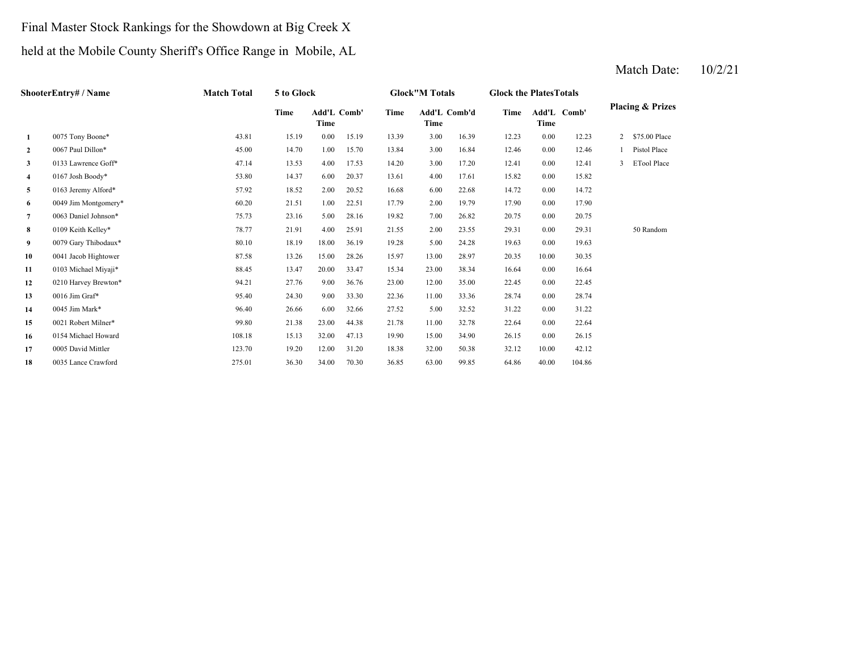## Final Master Stock Rankings for the Showdown at Big Creek X

## held at the Mobile County Sheriff's Office Range in Mobile, AL

|                | ShooterEntry# / Name | <b>Match Total</b> | 5 to Glock |       |             |       | <b>Glock"M Totals</b> |              | <b>Glock the Plates Totals</b> |       |             |                |                             |
|----------------|----------------------|--------------------|------------|-------|-------------|-------|-----------------------|--------------|--------------------------------|-------|-------------|----------------|-----------------------------|
|                |                      |                    | Time       | Time  | Add'L Comb' | Time  | Time                  | Add'L Comb'd | Time                           | Time  | Add'L Comb' |                | <b>Placing &amp; Prizes</b> |
| 1              | 0075 Tony Boone*     | 43.81              | 15.19      | 0.00  | 15.19       | 13.39 | 3.00                  | 16.39        | 12.23                          | 0.00  | 12.23       | $\overline{2}$ | \$75.00 Place               |
| $\mathbf{2}$   | 0067 Paul Dillon*    | 45.00              | 14.70      | 1.00  | 15.70       | 13.84 | 3.00                  | 16.84        | 12.46                          | 0.00  | 12.46       |                | Pistol Place                |
| 3              | 0133 Lawrence Goff*  | 47.14              | 13.53      | 4.00  | 17.53       | 14.20 | 3.00                  | 17.20        | 12.41                          | 0.00  | 12.41       | 3              | <b>ETool Place</b>          |
| 4              | 0167 Josh Boody*     | 53.80              | 14.37      | 6.00  | 20.37       | 13.61 | 4.00                  | 17.61        | 15.82                          | 0.00  | 15.82       |                |                             |
| 5              | 0163 Jeremy Alford*  | 57.92              | 18.52      | 2.00  | 20.52       | 16.68 | 6.00                  | 22.68        | 14.72                          | 0.00  | 14.72       |                |                             |
| 6              | 0049 Jim Montgomery* | 60.20              | 21.51      | 1.00  | 22.51       | 17.79 | 2.00                  | 19.79        | 17.90                          | 0.00  | 17.90       |                |                             |
| $\overline{7}$ | 0063 Daniel Johnson* | 75.73              | 23.16      | 5.00  | 28.16       | 19.82 | 7.00                  | 26.82        | 20.75                          | 0.00  | 20.75       |                |                             |
| 8              | 0109 Keith Kelley*   | 78.77              | 21.91      | 4.00  | 25.91       | 21.55 | 2.00                  | 23.55        | 29.31                          | 0.00  | 29.31       |                | 50 Random                   |
| 9              | 0079 Gary Thibodaux* | 80.10              | 18.19      | 18.00 | 36.19       | 19.28 | 5.00                  | 24.28        | 19.63                          | 0.00  | 19.63       |                |                             |
| 10             | 0041 Jacob Hightower | 87.58              | 13.26      | 15.00 | 28.26       | 15.97 | 13.00                 | 28.97        | 20.35                          | 10.00 | 30.35       |                |                             |
| 11             | 0103 Michael Miyaji* | 88.45              | 13.47      | 20.00 | 33.47       | 15.34 | 23.00                 | 38.34        | 16.64                          | 0.00  | 16.64       |                |                             |
| 12             | 0210 Harvey Brewton* | 94.21              | 27.76      | 9.00  | 36.76       | 23.00 | 12.00                 | 35.00        | 22.45                          | 0.00  | 22.45       |                |                             |
| 13             | 0016 Jim Graf*       | 95.40              | 24.30      | 9.00  | 33.30       | 22.36 | 11.00                 | 33.36        | 28.74                          | 0.00  | 28.74       |                |                             |
| 14             | 0045 Jim Mark*       | 96.40              | 26.66      | 6.00  | 32.66       | 27.52 | 5.00                  | 32.52        | 31.22                          | 0.00  | 31.22       |                |                             |
| 15             | 0021 Robert Milner*  | 99.80              | 21.38      | 23.00 | 44.38       | 21.78 | 11.00                 | 32.78        | 22.64                          | 0.00  | 22.64       |                |                             |
| 16             | 0154 Michael Howard  | 108.18             | 15.13      | 32.00 | 47.13       | 19.90 | 15.00                 | 34.90        | 26.15                          | 0.00  | 26.15       |                |                             |
| 17             | 0005 David Mittler   | 123.70             | 19.20      | 12.00 | 31.20       | 18.38 | 32.00                 | 50.38        | 32.12                          | 10.00 | 42.12       |                |                             |
| 18             | 0035 Lance Crawford  | 275.01             | 36.30      | 34.00 | 70.30       | 36.85 | 63.00                 | 99.85        | 64.86                          | 40.00 | 104.86      |                |                             |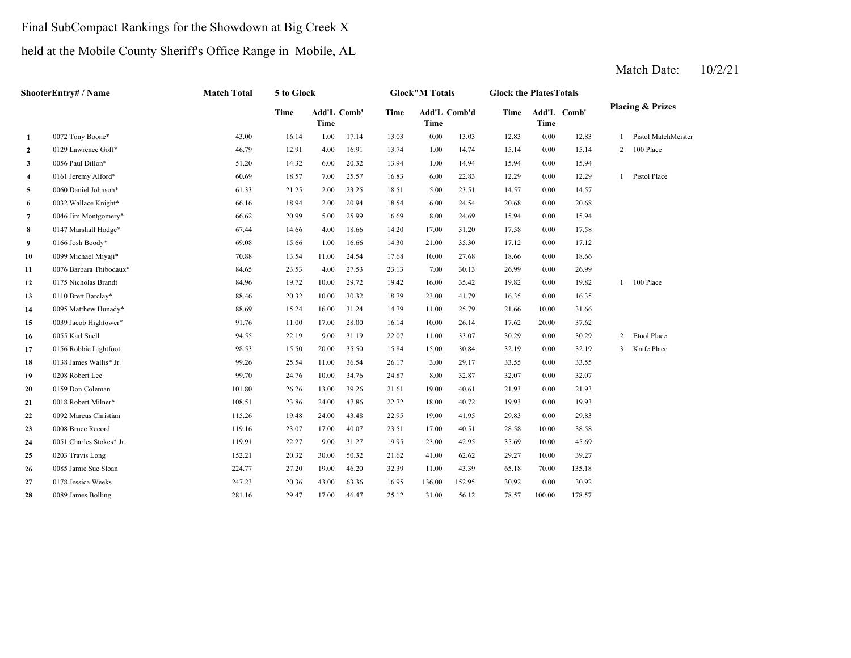## Final SubCompact Rankings for the Showdown at Big Creek X

held at the Mobile County Sheriff's Office Range in Mobile, AL

|    | ShooterEntry# / Name     | <b>Match Total</b> | 5 to Glock |                     |       |       | <b>Glock"M Totals</b> |              | <b>Glock the PlatesTotals</b> |          |             |                |                             |
|----|--------------------------|--------------------|------------|---------------------|-------|-------|-----------------------|--------------|-------------------------------|----------|-------------|----------------|-----------------------------|
|    |                          |                    | Time       | Add'L Comb'<br>Time |       | Time  | Time                  | Add'L Comb'd | <b>Time</b>                   | Time     | Add'L Comb' |                | <b>Placing &amp; Prizes</b> |
| 1  | 0072 Tony Boone*         | 43.00              | 16.14      | 1.00                | 17.14 | 13.03 | 0.00                  | 13.03        | 12.83                         | $0.00\,$ | 12.83       |                | Pistol MatchMeister         |
| 2  | 0129 Lawrence Goff*      | 46.79              | 12.91      | 4.00                | 16.91 | 13.74 | 1.00                  | 14.74        | 15.14                         | 0.00     | 15.14       | $2^{\circ}$    | 100 Place                   |
| 3  | 0056 Paul Dillon*        | 51.20              | 14.32      | 6.00                | 20.32 | 13.94 | 1.00                  | 14.94        | 15.94                         | 0.00     | 15.94       |                |                             |
| 4  | 0161 Jeremy Alford*      | 60.69              | 18.57      | 7.00                | 25.57 | 16.83 | 6.00                  | 22.83        | 12.29                         | 0.00     | 12.29       | $\mathbf{1}$   | Pistol Place                |
| 5  | 0060 Daniel Johnson*     | 61.33              | 21.25      | 2.00                | 23.25 | 18.51 | 5.00                  | 23.51        | 14.57                         | 0.00     | 14.57       |                |                             |
| 6  | 0032 Wallace Knight*     | 66.16              | 18.94      | 2.00                | 20.94 | 18.54 | 6.00                  | 24.54        | 20.68                         | 0.00     | 20.68       |                |                             |
| 7  | 0046 Jim Montgomery*     | 66.62              | 20.99      | 5.00                | 25.99 | 16.69 | 8.00                  | 24.69        | 15.94                         | 0.00     | 15.94       |                |                             |
| 8  | 0147 Marshall Hodge*     | 67.44              | 14.66      | 4.00                | 18.66 | 14.20 | 17.00                 | 31.20        | 17.58                         | 0.00     | 17.58       |                |                             |
| 9  | 0166 Josh Boody*         | 69.08              | 15.66      | 1.00                | 16.66 | 14.30 | 21.00                 | 35.30        | 17.12                         | 0.00     | 17.12       |                |                             |
| 10 | 0099 Michael Miyaji*     | 70.88              | 13.54      | 11.00               | 24.54 | 17.68 | 10.00                 | 27.68        | 18.66                         | 0.00     | 18.66       |                |                             |
| 11 | 0076 Barbara Thibodaux*  | 84.65              | 23.53      | 4.00                | 27.53 | 23.13 | 7.00                  | 30.13        | 26.99                         | 0.00     | 26.99       |                |                             |
| 12 | 0175 Nicholas Brandt     | 84.96              | 19.72      | 10.00               | 29.72 | 19.42 | 16.00                 | 35.42        | 19.82                         | 0.00     | 19.82       |                | $1 - 100$ Place             |
| 13 | 0110 Brett Barclay*      | 88.46              | 20.32      | 10.00               | 30.32 | 18.79 | 23.00                 | 41.79        | 16.35                         | 0.00     | 16.35       |                |                             |
| 14 | 0095 Matthew Hunady*     | 88.69              | 15.24      | 16.00               | 31.24 | 14.79 | 11.00                 | 25.79        | 21.66                         | 10.00    | 31.66       |                |                             |
| 15 | 0039 Jacob Hightower*    | 91.76              | 11.00      | 17.00               | 28.00 | 16.14 | 10.00                 | 26.14        | 17.62                         | 20.00    | 37.62       |                |                             |
| 16 | 0055 Karl Snell          | 94.55              | 22.19      | 9.00                | 31.19 | 22.07 | 11.00                 | 33.07        | 30.29                         | 0.00     | 30.29       | $\overline{2}$ | Etool Place                 |
| 17 | 0156 Robbie Lightfoot    | 98.53              | 15.50      | 20.00               | 35.50 | 15.84 | 15.00                 | 30.84        | 32.19                         | 0.00     | 32.19       |                | 3 Knife Place               |
| 18 | 0138 James Wallis* Jr.   | 99.26              | 25.54      | 11.00               | 36.54 | 26.17 | 3.00                  | 29.17        | 33.55                         | 0.00     | 33.55       |                |                             |
| 19 | 0208 Robert Lee          | 99.70              | 24.76      | 10.00               | 34.76 | 24.87 | 8.00                  | 32.87        | 32.07                         | 0.00     | 32.07       |                |                             |
| 20 | 0159 Don Coleman         | 101.80             | 26.26      | 13.00               | 39.26 | 21.61 | 19.00                 | 40.61        | 21.93                         | 0.00     | 21.93       |                |                             |
| 21 | 0018 Robert Milner*      | 108.51             | 23.86      | 24.00               | 47.86 | 22.72 | 18.00                 | 40.72        | 19.93                         | 0.00     | 19.93       |                |                             |
| 22 | 0092 Marcus Christian    | 115.26             | 19.48      | 24.00               | 43.48 | 22.95 | 19.00                 | 41.95        | 29.83                         | 0.00     | 29.83       |                |                             |
| 23 | 0008 Bruce Record        | 119.16             | 23.07      | 17.00               | 40.07 | 23.51 | 17.00                 | 40.51        | 28.58                         | 10.00    | 38.58       |                |                             |
| 24 | 0051 Charles Stokes* Jr. | 119.91             | 22.27      | 9.00                | 31.27 | 19.95 | 23.00                 | 42.95        | 35.69                         | 10.00    | 45.69       |                |                             |
| 25 | 0203 Travis Long         | 152.21             | 20.32      | 30.00               | 50.32 | 21.62 | 41.00                 | 62.62        | 29.27                         | 10.00    | 39.27       |                |                             |
| 26 | 0085 Jamie Sue Sloan     | 224.77             | 27.20      | 19.00               | 46.20 | 32.39 | 11.00                 | 43.39        | 65.18                         | 70.00    | 135.18      |                |                             |
| 27 | 0178 Jessica Weeks       | 247.23             | 20.36      | 43.00               | 63.36 | 16.95 | 136.00                | 152.95       | 30.92                         | 0.00     | 30.92       |                |                             |
| 28 | 0089 James Bolling       | 281.16             | 29.47      | 17.00               | 46.47 | 25.12 | 31.00                 | 56.12        | 78.57                         | 100.00   | 178.57      |                |                             |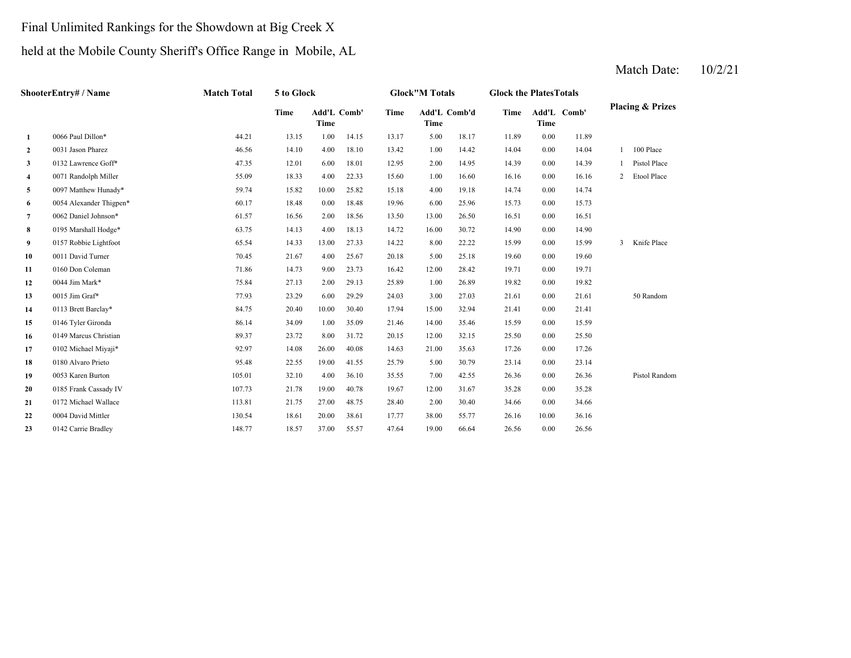# Final Unlimited Rankings for the Showdown at Big Creek X

## held at the Mobile County Sheriff's Office Range in Mobile, AL

|                | ShooterEntry# / Name    | <b>Match Total</b> | 5 to Glock |                            |       |       | <b>Glock"M Totals</b> |       | <b>Glock the PlatesTotals</b> |       |             |   |                             |
|----------------|-------------------------|--------------------|------------|----------------------------|-------|-------|-----------------------|-------|-------------------------------|-------|-------------|---|-----------------------------|
|                |                         |                    | Time       | <b>Add'L Comb'</b><br>Time |       | Time  | Add'L Comb'd<br>Time  |       | Time                          | Time  | Add'L Comb' |   | <b>Placing &amp; Prizes</b> |
| 1              | 0066 Paul Dillon*       | 44.21              | 13.15      | 1.00                       | 14.15 | 13.17 | 5.00                  | 18.17 | 11.89                         | 0.00  | 11.89       |   |                             |
| $\overline{2}$ | 0031 Jason Pharez       | 46.56              | 14.10      | 4.00                       | 18.10 | 13.42 | 1.00                  | 14.42 | 14.04                         | 0.00  | 14.04       |   | 100 Place                   |
| 3              | 0132 Lawrence Goff*     | 47.35              | 12.01      | 6.00                       | 18.01 | 12.95 | 2.00                  | 14.95 | 14.39                         | 0.00  | 14.39       |   | Pistol Place                |
| $\overline{4}$ | 0071 Randolph Miller    | 55.09              | 18.33      | 4.00                       | 22.33 | 15.60 | 1.00                  | 16.60 | 16.16                         | 0.00  | 16.16       | 2 | Etool Place                 |
| 5              | 0097 Matthew Hunady*    | 59.74              | 15.82      | 10.00                      | 25.82 | 15.18 | 4.00                  | 19.18 | 14.74                         | 0.00  | 14.74       |   |                             |
| 6              | 0054 Alexander Thigpen* | 60.17              | 18.48      | 0.00                       | 18.48 | 19.96 | 6.00                  | 25.96 | 15.73                         | 0.00  | 15.73       |   |                             |
| $\overline{7}$ | 0062 Daniel Johnson*    | 61.57              | 16.56      | 2.00                       | 18.56 | 13.50 | 13.00                 | 26.50 | 16.51                         | 0.00  | 16.51       |   |                             |
| 8              | 0195 Marshall Hodge*    | 63.75              | 14.13      | 4.00                       | 18.13 | 14.72 | 16.00                 | 30.72 | 14.90                         | 0.00  | 14.90       |   |                             |
| 9              | 0157 Robbie Lightfoot   | 65.54              | 14.33      | 13.00                      | 27.33 | 14.22 | 8.00                  | 22.22 | 15.99                         | 0.00  | 15.99       | 3 | Knife Place                 |
| 10             | 0011 David Turner       | 70.45              | 21.67      | 4.00                       | 25.67 | 20.18 | 5.00                  | 25.18 | 19.60                         | 0.00  | 19.60       |   |                             |
| 11             | 0160 Don Coleman        | 71.86              | 14.73      | 9.00                       | 23.73 | 16.42 | 12.00                 | 28.42 | 19.71                         | 0.00  | 19.71       |   |                             |
| 12             | 0044 Jim Mark*          | 75.84              | 27.13      | 2.00                       | 29.13 | 25.89 | 1.00                  | 26.89 | 19.82                         | 0.00  | 19.82       |   |                             |
| 13             | 0015 Jim Graf*          | 77.93              | 23.29      | 6.00                       | 29.29 | 24.03 | 3.00                  | 27.03 | 21.61                         | 0.00  | 21.61       |   | 50 Random                   |
| 14             | 0113 Brett Barclay*     | 84.75              | 20.40      | 10.00                      | 30.40 | 17.94 | 15.00                 | 32.94 | 21.41                         | 0.00  | 21.41       |   |                             |
| 15             | 0146 Tyler Gironda      | 86.14              | 34.09      | 1.00                       | 35.09 | 21.46 | 14.00                 | 35.46 | 15.59                         | 0.00  | 15.59       |   |                             |
| 16             | 0149 Marcus Christian   | 89.37              | 23.72      | 8.00                       | 31.72 | 20.15 | 12.00                 | 32.15 | 25.50                         | 0.00  | 25.50       |   |                             |
| 17             | 0102 Michael Miyaji*    | 92.97              | 14.08      | 26.00                      | 40.08 | 14.63 | 21.00                 | 35.63 | 17.26                         | 0.00  | 17.26       |   |                             |
| 18             | 0180 Alvaro Prieto      | 95.48              | 22.55      | 19.00                      | 41.55 | 25.79 | 5.00                  | 30.79 | 23.14                         | 0.00  | 23.14       |   |                             |
| 19             | 0053 Karen Burton       | 105.01             | 32.10      | 4.00                       | 36.10 | 35.55 | 7.00                  | 42.55 | 26.36                         | 0.00  | 26.36       |   | Pistol Random               |
| 20             | 0185 Frank Cassady IV   | 107.73             | 21.78      | 19.00                      | 40.78 | 19.67 | 12.00                 | 31.67 | 35.28                         | 0.00  | 35.28       |   |                             |
| 21             | 0172 Michael Wallace    | 113.81             | 21.75      | 27.00                      | 48.75 | 28.40 | 2.00                  | 30.40 | 34.66                         | 0.00  | 34.66       |   |                             |
| 22             | 0004 David Mittler      | 130.54             | 18.61      | 20.00                      | 38.61 | 17.77 | 38.00                 | 55.77 | 26.16                         | 10.00 | 36.16       |   |                             |
| 23             | 0142 Carrie Bradley     | 148.77             | 18.57      | 37.00                      | 55.57 | 47.64 | 19.00                 | 66.64 | 26.56                         | 0.00  | 26.56       |   |                             |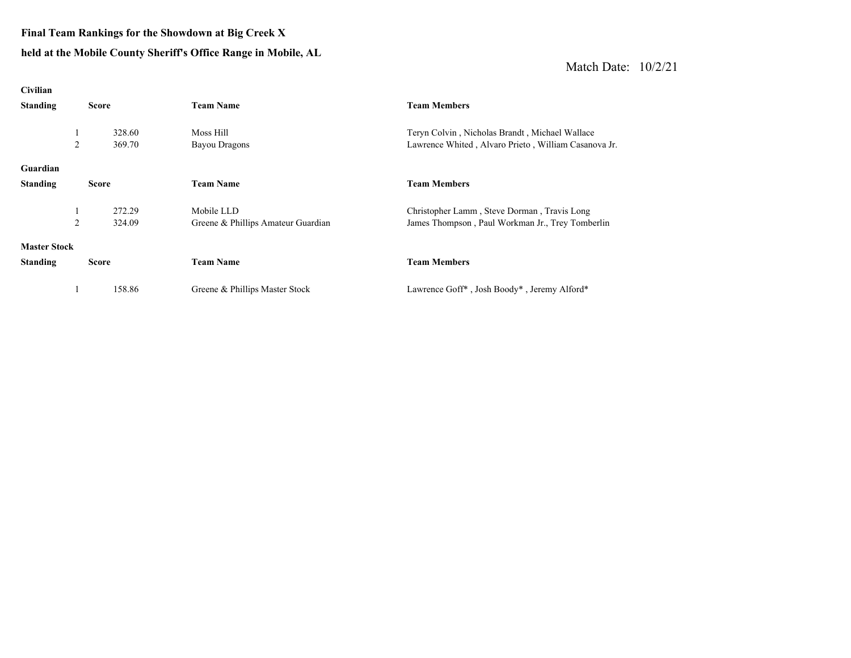#### **Final Team Rankings for the Showdown at Big Creek X**

#### **held at the Mobile County Sheriff's Office Range in Mobile, AL**

| Civilian            |              |                                    |                                                      |
|---------------------|--------------|------------------------------------|------------------------------------------------------|
| <b>Standing</b>     | <b>Score</b> | <b>Team Name</b>                   | <b>Team Members</b>                                  |
|                     |              |                                    |                                                      |
| 1                   | 328.60       | Moss Hill                          | Teryn Colvin, Nicholas Brandt, Michael Wallace       |
| 2                   | 369.70       | <b>Bayou Dragons</b>               | Lawrence Whited, Alvaro Prieto, William Casanova Jr. |
|                     |              |                                    |                                                      |
| Guardian            |              |                                    |                                                      |
| <b>Standing</b>     | <b>Score</b> | <b>Team Name</b>                   | <b>Team Members</b>                                  |
|                     |              |                                    |                                                      |
| 1                   | 272.29       | Mobile LLD                         | Christopher Lamm, Steve Dorman, Travis Long          |
| 2                   | 324.09       | Greene & Phillips Amateur Guardian | James Thompson, Paul Workman Jr., Trey Tomberlin     |
|                     |              |                                    |                                                      |
| <b>Master Stock</b> |              |                                    |                                                      |
| <b>Standing</b>     | Score        | <b>Team Name</b>                   | <b>Team Members</b>                                  |
|                     |              |                                    |                                                      |
| 1                   | 158.86       | Greene & Phillips Master Stock     | Lawrence Goff*, Josh Boody*, Jeremy Alford*          |